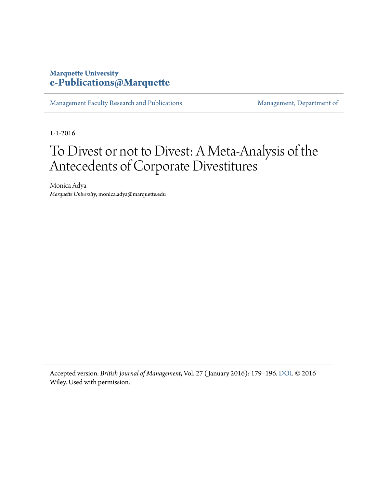#### **Marquette University [e-Publications@Marquette](https://epublications.marquette.edu)**

[Management Faculty Research and Publications](https://epublications.marquette.edu/mgmt_fac) [Management, Department of](https://epublications.marquette.edu/mgmt)

1-1-2016

## To Divest or not to Divest: A Meta-Analysis of the Antecedents of Corporate Divestitures

Monica Adya *Marquette University*, monica.adya@marquette.edu

Accepted version. *British Journal of Management*, Vol. 27 ( January 2016): 179–196. [DOI](http://dx.doi.org/10.1111/1467-8551.12145). © 2016 Wiley. Used with permission.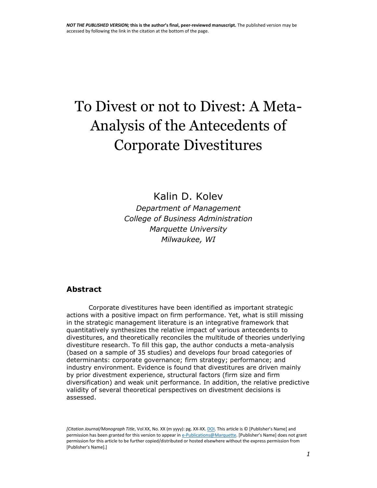# To Divest or not to Divest: A Meta-Analysis of the Antecedents of Corporate Divestitures

Kalin D. Kolev

*Department of Management College of Business Administration Marquette University Milwaukee, WI*

#### **Abstract**

Corporate divestitures have been identified as important strategic actions with a positive impact on firm performance. Yet, what is still missing in the strategic management literature is an integrative framework that quantitatively synthesizes the relative impact of various antecedents to divestitures, and theoretically reconciles the multitude of theories underlying divestiture research. To fill this gap, the author conducts a meta-analysis (based on a sample of 35 studies) and develops four broad categories of determinants: corporate governance; firm strategy; performance; and industry environment. Evidence is found that divestitures are driven mainly by prior divestment experience, structural factors (firm size and firm diversification) and weak unit performance. In addition, the relative predictive validity of several theoretical perspectives on divestment decisions is assessed.

*[Citation Journal/Monograph Title*, Vol XX, No. XX (m yyyy): pg. XX-XX[. DOI.](file:///C:/Users/olsons/Desktop/Desktop/author%20versions/dx.doi.org/10.1016/j.acalib.2009.06.017) This article is © [Publisher's Name] and permission has been granted for this version to appear i[n e-Publications@Marquette.](http://epublications.marquette.edu/) [Publisher's Name] does not grant permission for this article to be further copied/distributed or hosted elsewhere without the express permission from [Publisher's Name].]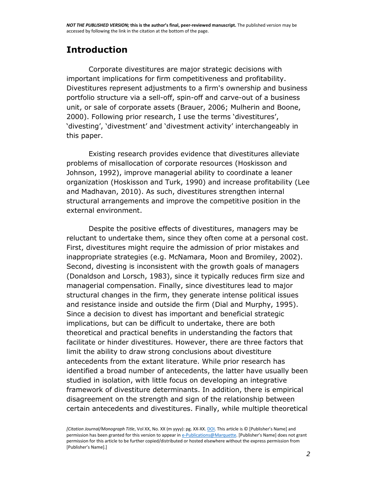## **Introduction**

Corporate divestitures are major strategic decisions with important implications for firm competitiveness and profitability. Divestitures represent adjustments to a firm's ownership and business portfolio structure via a sell-off, spin-off and carve-out of a business unit, or sale of corporate assets (Brauer, [2006;](http://onlinelibrary.wiley.com/doi/10.1111/1467-8551.12145/full#bjom12145-bib-0015) Mulherin and Boone, [2000](http://onlinelibrary.wiley.com/doi/10.1111/1467-8551.12145/full#bjom12145-bib-0075)). Following prior research, I use the terms 'divestitures', 'divesting', 'divestment' and 'divestment activity' interchangeably in this paper.

Existing research provides evidence that divestitures alleviate problems of misallocation of corporate resources (Hoskisson and Johnson, [1992\)](http://onlinelibrary.wiley.com/doi/10.1111/1467-8551.12145/full#bjom12145-bib-0050), improve managerial ability to coordinate a leaner organization (Hoskisson and Turk, [1990\)](http://onlinelibrary.wiley.com/doi/10.1111/1467-8551.12145/full#bjom12145-bib-0051) and increase profitability (Lee and Madhavan, [2010\)](http://onlinelibrary.wiley.com/doi/10.1111/1467-8551.12145/full#bjom12145-bib-0066). As such, divestitures strengthen internal structural arrangements and improve the competitive position in the external environment.

Despite the positive effects of divestitures, managers may be reluctant to undertake them, since they often come at a personal cost. First, divestitures might require the admission of prior mistakes and inappropriate strategies (e.g. McNamara, Moon and Bromiley, [2002\)](http://onlinelibrary.wiley.com/doi/10.1111/1467-8551.12145/full#bjom12145-bib-0071). Second, divesting is inconsistent with the growth goals of managers (Donaldson and Lorsch, [1983\)](http://onlinelibrary.wiley.com/doi/10.1111/1467-8551.12145/full#bjom12145-bib-0030), since it typically reduces firm size and managerial compensation. Finally, since divestitures lead to major structural changes in the firm, they generate intense political issues and resistance inside and outside the firm (Dial and Murphy, [1995\)](http://onlinelibrary.wiley.com/doi/10.1111/1467-8551.12145/full#bjom12145-bib-0029). Since a decision to divest has important and beneficial strategic implications, but can be difficult to undertake, there are both theoretical and practical benefits in understanding the factors that facilitate or hinder divestitures. However, there are three factors that limit the ability to draw strong conclusions about divestiture antecedents from the extant literature. While prior research has identified a broad number of antecedents, the latter have usually been studied in isolation, with little focus on developing an integrative framework of divestiture determinants. In addition, there is empirical disagreement on the strength and sign of the relationship between certain antecedents and divestitures. Finally, while multiple theoretical

*<sup>[</sup>Citation Journal/Monograph Title*, Vol XX, No. XX (m yyyy): pg. XX-XX[. DOI.](file:///C:/Users/olsons/Desktop/Desktop/author%20versions/dx.doi.org/10.1016/j.acalib.2009.06.017) This article is © [Publisher's Name] and permission has been granted for this version to appear i[n e-Publications@Marquette.](http://epublications.marquette.edu/) [Publisher's Name] does not grant permission for this article to be further copied/distributed or hosted elsewhere without the express permission from [Publisher's Name].]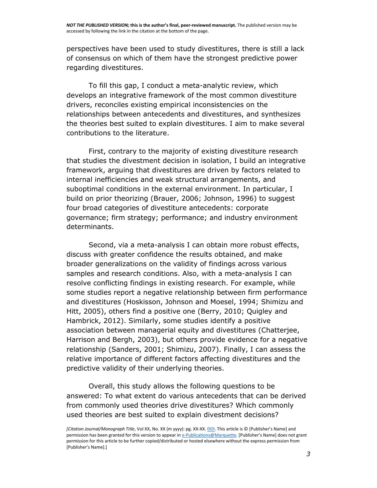perspectives have been used to study divestitures, there is still a lack of consensus on which of them have the strongest predictive power regarding divestitures.

To fill this gap, I conduct a meta-analytic review, which develops an integrative framework of the most common divestiture drivers, reconciles existing empirical inconsistencies on the relationships between antecedents and divestitures, and synthesizes the theories best suited to explain divestitures. I aim to make several contributions to the literature.

First, contrary to the majority of existing divestiture research that studies the divestment decision in isolation, I build an integrative framework, arguing that divestitures are driven by factors related to internal inefficiencies and weak structural arrangements, and suboptimal conditions in the external environment. In particular, I build on prior theorizing (Brauer, [2006;](http://onlinelibrary.wiley.com/doi/10.1111/1467-8551.12145/full#bjom12145-bib-0015) Johnson, [1996\)](http://onlinelibrary.wiley.com/doi/10.1111/1467-8551.12145/full#bjom12145-bib-0058) to suggest four broad categories of divestiture antecedents: corporate governance; firm strategy; performance; and industry environment determinants.

Second, via a meta-analysis I can obtain more robust effects, discuss with greater confidence the results obtained, and make broader generalizations on the validity of findings across various samples and research conditions. Also, with a meta-analysis I can resolve conflicting findings in existing research. For example, while some studies report a negative relationship between firm performance and divestitures (Hoskisson, Johnson and Moesel, [1994;](http://onlinelibrary.wiley.com/doi/10.1111/1467-8551.12145/full#bjom12145-bib-0052) Shimizu and Hitt, [2005\)](http://onlinelibrary.wiley.com/doi/10.1111/1467-8551.12145/full#bjom12145-bib-0089), others find a positive one (Berry, [2010;](http://onlinelibrary.wiley.com/doi/10.1111/1467-8551.12145/full#bjom12145-bib-0010) Quigley and Hambrick, [2012\)](http://onlinelibrary.wiley.com/doi/10.1111/1467-8551.12145/full#bjom12145-bib-0084). Similarly, some studies identify a positive association between managerial equity and divestitures (Chatterjee, Harrison and Bergh, [2003\)](http://onlinelibrary.wiley.com/doi/10.1111/1467-8551.12145/full#bjom12145-bib-0019), but others provide evidence for a negative relationship (Sanders, [2001;](http://onlinelibrary.wiley.com/doi/10.1111/1467-8551.12145/full#bjom12145-bib-0086) Shimizu, [2007\)](http://onlinelibrary.wiley.com/doi/10.1111/1467-8551.12145/full#bjom12145-bib-0088). Finally, I can assess the relative importance of different factors affecting divestitures and the predictive validity of their underlying theories.

Overall, this study allows the following questions to be answered: To what extent do various antecedents that can be derived from commonly used theories drive divestitures? Which commonly used theories are best suited to explain divestment decisions?

*<sup>[</sup>Citation Journal/Monograph Title*, Vol XX, No. XX (m yyyy): pg. XX-XX[. DOI.](file:///C:/Users/olsons/Desktop/Desktop/author%20versions/dx.doi.org/10.1016/j.acalib.2009.06.017) This article is © [Publisher's Name] and permission has been granted for this version to appear i[n e-Publications@Marquette.](http://epublications.marquette.edu/) [Publisher's Name] does not grant permission for this article to be further copied/distributed or hosted elsewhere without the express permission from [Publisher's Name].]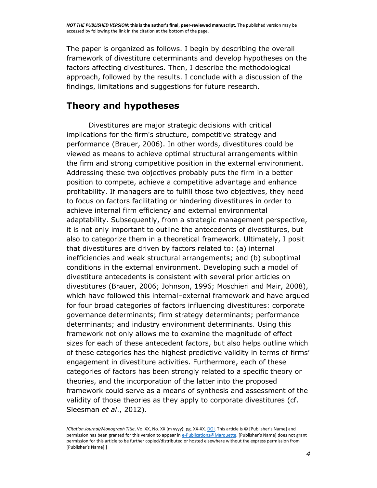The paper is organized as follows. I begin by describing the overall framework of divestiture determinants and develop hypotheses on the factors affecting divestitures. Then, I describe the methodological approach, followed by the results. I conclude with a discussion of the findings, limitations and suggestions for future research.

#### **Theory and hypotheses**

Divestitures are major strategic decisions with critical implications for the firm's structure, competitive strategy and performance (Brauer, [2006\)](http://onlinelibrary.wiley.com/doi/10.1111/1467-8551.12145/full#bjom12145-bib-0015). In other words, divestitures could be viewed as means to achieve optimal structural arrangements within the firm and strong competitive position in the external environment. Addressing these two objectives probably puts the firm in a better position to compete, achieve a competitive advantage and enhance profitability. If managers are to fulfill those two objectives, they need to focus on factors facilitating or hindering divestitures in order to achieve internal firm efficiency and external environmental adaptability. Subsequently, from a strategic management perspective, it is not only important to outline the antecedents of divestitures, but also to categorize them in a theoretical framework. Ultimately, I posit that divestitures are driven by factors related to: (a) internal inefficiencies and weak structural arrangements; and (b) suboptimal conditions in the external environment. Developing such a model of divestiture antecedents is consistent with several prior articles on divestitures (Brauer, [2006;](http://onlinelibrary.wiley.com/doi/10.1111/1467-8551.12145/full#bjom12145-bib-0015) Johnson, [1996;](http://onlinelibrary.wiley.com/doi/10.1111/1467-8551.12145/full#bjom12145-bib-0058) Moschieri and Mair, [2008\)](http://onlinelibrary.wiley.com/doi/10.1111/1467-8551.12145/full#bjom12145-bib-0074), which have followed this internal–external framework and have argued for four broad categories of factors influencing divestitures: corporate governance determinants; firm strategy determinants; performance determinants; and industry environment determinants. Using this framework not only allows me to examine the magnitude of effect sizes for each of these antecedent factors, but also helps outline which of these categories has the highest predictive validity in terms of firms' engagement in divestiture activities. Furthermore, each of these categories of factors has been strongly related to a specific theory or theories, and the incorporation of the latter into the proposed framework could serve as a means of synthesis and assessment of the validity of those theories as they apply to corporate divestitures (cf. Sleesman *et al*., [2012\)](http://onlinelibrary.wiley.com/doi/10.1111/1467-8551.12145/full#bjom12145-bib-0090).

*<sup>[</sup>Citation Journal/Monograph Title*, Vol XX, No. XX (m yyyy): pg. XX-XX[. DOI.](file:///C:/Users/olsons/Desktop/Desktop/author%20versions/dx.doi.org/10.1016/j.acalib.2009.06.017) This article is © [Publisher's Name] and permission has been granted for this version to appear i[n e-Publications@Marquette.](http://epublications.marquette.edu/) [Publisher's Name] does not grant permission for this article to be further copied/distributed or hosted elsewhere without the express permission from [Publisher's Name].]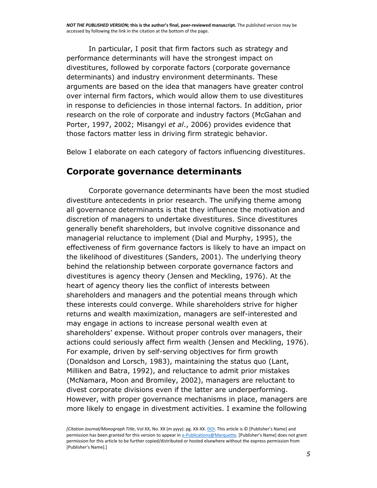In particular, I posit that firm factors such as strategy and performance determinants will have the strongest impact on divestitures, followed by corporate factors (corporate governance determinants) and industry environment determinants. These arguments are based on the idea that managers have greater control over internal firm factors, which would allow them to use divestitures in response to deficiencies in those internal factors. In addition, prior research on the role of corporate and industry factors (McGahan and Porter, [1997,](http://onlinelibrary.wiley.com/doi/10.1111/1467-8551.12145/full#bjom12145-bib-0069) [2002;](http://onlinelibrary.wiley.com/doi/10.1111/1467-8551.12145/full#bjom12145-bib-0070) Misangyi *et al*., [2006\)](http://onlinelibrary.wiley.com/doi/10.1111/1467-8551.12145/full#bjom12145-bib-0073) provides evidence that those factors matter less in driving firm strategic behavior.

Below I elaborate on each category of factors influencing divestitures.

#### **Corporate governance determinants**

Corporate governance determinants have been the most studied divestiture antecedents in prior research. The unifying theme among all governance determinants is that they influence the motivation and discretion of managers to undertake divestitures. Since divestitures generally benefit shareholders, but involve cognitive dissonance and managerial reluctance to implement (Dial and Murphy, [1995\)](http://onlinelibrary.wiley.com/doi/10.1111/1467-8551.12145/full#bjom12145-bib-0029), the effectiveness of firm governance factors is likely to have an impact on the likelihood of divestitures (Sanders, [2001\)](http://onlinelibrary.wiley.com/doi/10.1111/1467-8551.12145/full#bjom12145-bib-0086). The underlying theory behind the relationship between corporate governance factors and divestitures is agency theory (Jensen and Meckling, [1976\)](http://onlinelibrary.wiley.com/doi/10.1111/1467-8551.12145/full#bjom12145-bib-0057). At the heart of agency theory lies the conflict of interests between shareholders and managers and the potential means through which these interests could converge. While shareholders strive for higher returns and wealth maximization, managers are self-interested and may engage in actions to increase personal wealth even at shareholders' expense. Without proper controls over managers, their actions could seriously affect firm wealth (Jensen and Meckling, [1976\)](http://onlinelibrary.wiley.com/doi/10.1111/1467-8551.12145/full#bjom12145-bib-0057). For example, driven by self-serving objectives for firm growth (Donaldson and Lorsch, [1983\)](http://onlinelibrary.wiley.com/doi/10.1111/1467-8551.12145/full#bjom12145-bib-0030), maintaining the status quo (Lant, Milliken and Batra, [1992\)](http://onlinelibrary.wiley.com/doi/10.1111/1467-8551.12145/full#bjom12145-bib-0065), and reluctance to admit prior mistakes (McNamara, Moon and Bromiley, [2002\)](http://onlinelibrary.wiley.com/doi/10.1111/1467-8551.12145/full#bjom12145-bib-0071), managers are reluctant to divest corporate divisions even if the latter are underperforming. However, with proper governance mechanisms in place, managers are more likely to engage in divestment activities. I examine the following

*<sup>[</sup>Citation Journal/Monograph Title*, Vol XX, No. XX (m yyyy): pg. XX-XX[. DOI.](file:///C:/Users/olsons/Desktop/Desktop/author%20versions/dx.doi.org/10.1016/j.acalib.2009.06.017) This article is © [Publisher's Name] and permission has been granted for this version to appear i[n e-Publications@Marquette.](http://epublications.marquette.edu/) [Publisher's Name] does not grant permission for this article to be further copied/distributed or hosted elsewhere without the express permission from [Publisher's Name].]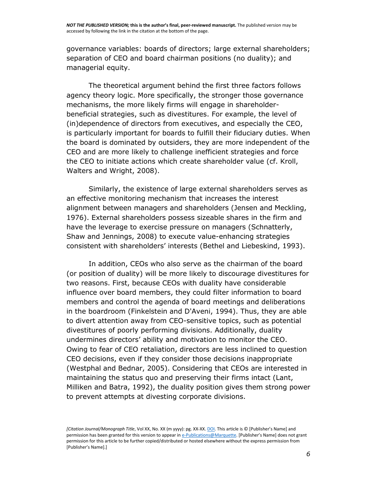governance variables: boards of directors; large external shareholders; separation of CEO and board chairman positions (no duality); and managerial equity.

The theoretical argument behind the first three factors follows agency theory logic. More specifically, the stronger those governance mechanisms, the more likely firms will engage in shareholderbeneficial strategies, such as divestitures. For example, the level of (in)dependence of directors from executives, and especially the CEO, is particularly important for boards to fulfill their fiduciary duties. When the board is dominated by outsiders, they are more independent of the CEO and are more likely to challenge inefficient strategies and force the CEO to initiate actions which create shareholder value (cf. Kroll, Walters and Wright, [2008\)](http://onlinelibrary.wiley.com/doi/10.1111/1467-8551.12145/full#bjom12145-bib-0062).

Similarly, the existence of large external shareholders serves as an effective monitoring mechanism that increases the interest alignment between managers and shareholders (Jensen and Meckling, [1976\)](http://onlinelibrary.wiley.com/doi/10.1111/1467-8551.12145/full#bjom12145-bib-0057). External shareholders possess sizeable shares in the firm and have the leverage to exercise pressure on managers (Schnatterly, Shaw and Jennings, [2008\)](http://onlinelibrary.wiley.com/doi/10.1111/1467-8551.12145/full#bjom12145-bib-0087) to execute value-enhancing strategies consistent with shareholders' interests (Bethel and Liebeskind, [1993\)](http://onlinelibrary.wiley.com/doi/10.1111/1467-8551.12145/full#bjom12145-bib-0011).

In addition, CEOs who also serve as the chairman of the board (or position of duality) will be more likely to discourage divestitures for two reasons. First, because CEOs with duality have considerable influence over board members, they could filter information to board members and control the agenda of board meetings and deliberations in the boardroom (Finkelstein and D'Aveni, [1994\)](http://onlinelibrary.wiley.com/doi/10.1111/1467-8551.12145/full#bjom12145-bib-0034). Thus, they are able to divert attention away from CEO-sensitive topics, such as potential divestitures of poorly performing divisions. Additionally, duality undermines directors' ability and motivation to monitor the CEO. Owing to fear of CEO retaliation, directors are less inclined to question CEO decisions, even if they consider those decisions inappropriate (Westphal and Bednar, [2005\)](http://onlinelibrary.wiley.com/doi/10.1111/1467-8551.12145/full#bjom12145-bib-0092). Considering that CEOs are interested in maintaining the status quo and preserving their firms intact (Lant, Milliken and Batra, [1992\)](http://onlinelibrary.wiley.com/doi/10.1111/1467-8551.12145/full#bjom12145-bib-0065), the duality position gives them strong power to prevent attempts at divesting corporate divisions.

*<sup>[</sup>Citation Journal/Monograph Title*, Vol XX, No. XX (m yyyy): pg. XX-XX[. DOI.](file:///C:/Users/olsons/Desktop/Desktop/author%20versions/dx.doi.org/10.1016/j.acalib.2009.06.017) This article is © [Publisher's Name] and permission has been granted for this version to appear i[n e-Publications@Marquette.](http://epublications.marquette.edu/) [Publisher's Name] does not grant permission for this article to be further copied/distributed or hosted elsewhere without the express permission from [Publisher's Name].]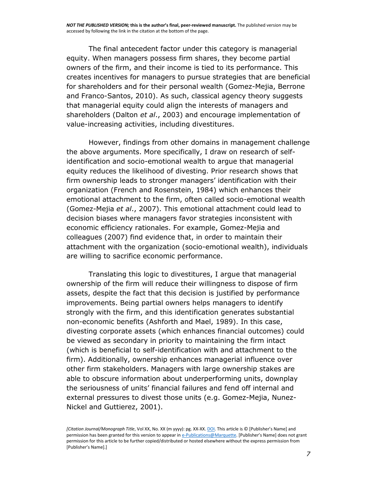The final antecedent factor under this category is managerial equity. When managers possess firm shares, they become partial owners of the firm, and their income is tied to its performance. This creates incentives for managers to pursue strategies that are beneficial for shareholders and for their personal wealth (Gomez-Mejia, Berrone and Franco-Santos, [2010\)](http://onlinelibrary.wiley.com/doi/10.1111/1467-8551.12145/full#bjom12145-bib-0039). As such, classical agency theory suggests that managerial equity could align the interests of managers and shareholders (Dalton *et al*., [2003\)](http://onlinelibrary.wiley.com/doi/10.1111/1467-8551.12145/full#bjom12145-bib-0023) and encourage implementation of value-increasing activities, including divestitures.

However, findings from other domains in management challenge the above arguments. More specifically, I draw on research of selfidentification and socio-emotional wealth to argue that managerial equity reduces the likelihood of divesting. Prior research shows that firm ownership leads to stronger managers' identification with their organization (French and Rosenstein, [1984\)](http://onlinelibrary.wiley.com/doi/10.1111/1467-8551.12145/full#bjom12145-bib-0035) which enhances their emotional attachment to the firm, often called socio-emotional wealth (Gomez-Mejia *et al*., [2007\)](http://onlinelibrary.wiley.com/doi/10.1111/1467-8551.12145/full#bjom12145-bib-0040). This emotional attachment could lead to decision biases where managers favor strategies inconsistent with economic efficiency rationales. For example, Gomez-Mejia and colleagues [\(2007\)](http://onlinelibrary.wiley.com/doi/10.1111/1467-8551.12145/full#bjom12145-bib-0040) find evidence that, in order to maintain their attachment with the organization (socio-emotional wealth), individuals are willing to sacrifice economic performance.

Translating this logic to divestitures, I argue that managerial ownership of the firm will reduce their willingness to dispose of firm assets, despite the fact that this decision is justified by performance improvements. Being partial owners helps managers to identify strongly with the firm, and this identification generates substantial non-economic benefits (Ashforth and Mael, [1989\)](http://onlinelibrary.wiley.com/doi/10.1111/1467-8551.12145/full#bjom12145-bib-0004). In this case, divesting corporate assets (which enhances financial outcomes) could be viewed as secondary in priority to maintaining the firm intact (which is beneficial to self-identification with and attachment to the firm). Additionally, ownership enhances managerial influence over other firm stakeholders. Managers with large ownership stakes are able to obscure information about underperforming units, downplay the seriousness of units' financial failures and fend off internal and external pressures to divest those units (e.g. Gomez-Mejia, Nunez-Nickel and Guttierez, [2001\)](http://onlinelibrary.wiley.com/doi/10.1111/1467-8551.12145/full#bjom12145-bib-0041).

*<sup>[</sup>Citation Journal/Monograph Title*, Vol XX, No. XX (m yyyy): pg. XX-XX[. DOI.](file:///C:/Users/olsons/Desktop/Desktop/author%20versions/dx.doi.org/10.1016/j.acalib.2009.06.017) This article is © [Publisher's Name] and permission has been granted for this version to appear i[n e-Publications@Marquette.](http://epublications.marquette.edu/) [Publisher's Name] does not grant permission for this article to be further copied/distributed or hosted elsewhere without the express permission from [Publisher's Name].]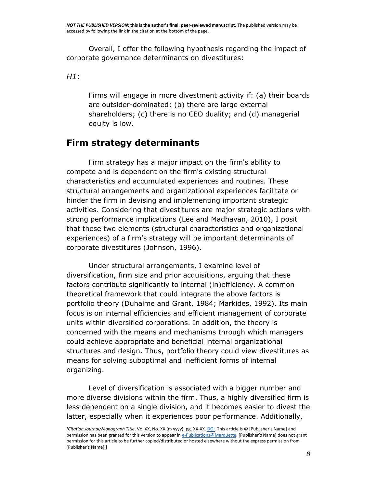Overall, I offer the following hypothesis regarding the impact of corporate governance determinants on divestitures:

*H1*:

Firms will engage in more divestment activity if: (a) their boards are outsider-dominated; (b) there are large external shareholders; (c) there is no CEO duality; and (d) managerial equity is low.

## **Firm strategy determinants**

Firm strategy has a major impact on the firm's ability to compete and is dependent on the firm's existing structural characteristics and accumulated experiences and routines. These structural arrangements and organizational experiences facilitate or hinder the firm in devising and implementing important strategic activities. Considering that divestitures are major strategic actions with strong performance implications (Lee and Madhavan, [2010\)](http://onlinelibrary.wiley.com/doi/10.1111/1467-8551.12145/full#bjom12145-bib-0066), I posit that these two elements (structural characteristics and organizational experiences) of a firm's strategy will be important determinants of corporate divestitures (Johnson, [1996\)](http://onlinelibrary.wiley.com/doi/10.1111/1467-8551.12145/full#bjom12145-bib-0058).

Under structural arrangements, I examine level of diversification, firm size and prior acquisitions, arguing that these factors contribute significantly to internal (in)efficiency. A common theoretical framework that could integrate the above factors is portfolio theory (Duhaime and Grant, [1984;](http://onlinelibrary.wiley.com/doi/10.1111/1467-8551.12145/full#bjom12145-bib-0031) Markides, [1992\)](http://onlinelibrary.wiley.com/doi/10.1111/1467-8551.12145/full#bjom12145-bib-0068). Its main focus is on internal efficiencies and efficient management of corporate units within diversified corporations. In addition, the theory is concerned with the means and mechanisms through which managers could achieve appropriate and beneficial internal organizational structures and design. Thus, portfolio theory could view divestitures as means for solving suboptimal and inefficient forms of internal organizing.

Level of diversification is associated with a bigger number and more diverse divisions within the firm. Thus, a highly diversified firm is less dependent on a single division, and it becomes easier to divest the latter, especially when it experiences poor performance. Additionally,

*<sup>[</sup>Citation Journal/Monograph Title*, Vol XX, No. XX (m yyyy): pg. XX-XX[. DOI.](file:///C:/Users/olsons/Desktop/Desktop/author%20versions/dx.doi.org/10.1016/j.acalib.2009.06.017) This article is © [Publisher's Name] and permission has been granted for this version to appear i[n e-Publications@Marquette.](http://epublications.marquette.edu/) [Publisher's Name] does not grant permission for this article to be further copied/distributed or hosted elsewhere without the express permission from [Publisher's Name].]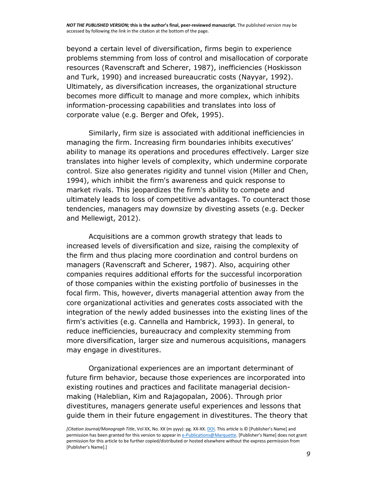beyond a certain level of diversification, firms begin to experience problems stemming from loss of control and misallocation of corporate resources (Ravenscraft and Scherer, [1987\)](http://onlinelibrary.wiley.com/doi/10.1111/1467-8551.12145/full#bjom12145-bib-0085), inefficiencies (Hoskisson and Turk, [1990\)](http://onlinelibrary.wiley.com/doi/10.1111/1467-8551.12145/full#bjom12145-bib-0051) and increased bureaucratic costs (Nayyar, [1992\)](http://onlinelibrary.wiley.com/doi/10.1111/1467-8551.12145/full#bjom12145-bib-0076). Ultimately, as diversification increases, the organizational structure becomes more difficult to manage and more complex, which inhibits information-processing capabilities and translates into loss of corporate value (e.g. Berger and Ofek, [1995\)](http://onlinelibrary.wiley.com/doi/10.1111/1467-8551.12145/full#bjom12145-bib-0008).

Similarly, firm size is associated with additional inefficiencies in managing the firm. Increasing firm boundaries inhibits executives' ability to manage its operations and procedures effectively. Larger size translates into higher levels of complexity, which undermine corporate control. Size also generates rigidity and tunnel vision (Miller and Chen, [1994\)](http://onlinelibrary.wiley.com/doi/10.1111/1467-8551.12145/full#bjom12145-bib-0072), which inhibit the firm's awareness and quick response to market rivals. This jeopardizes the firm's ability to compete and ultimately leads to loss of competitive advantages. To counteract those tendencies, managers may downsize by divesting assets (e.g. Decker and Mellewigt, [2012\)](http://onlinelibrary.wiley.com/doi/10.1111/1467-8551.12145/full#bjom12145-bib-0026).

Acquisitions are a common growth strategy that leads to increased levels of diversification and size, raising the complexity of the firm and thus placing more coordination and control burdens on managers (Ravenscraft and Scherer, [1987\)](http://onlinelibrary.wiley.com/doi/10.1111/1467-8551.12145/full#bjom12145-bib-0085). Also, acquiring other companies requires additional efforts for the successful incorporation of those companies within the existing portfolio of businesses in the focal firm. This, however, diverts managerial attention away from the core organizational activities and generates costs associated with the integration of the newly added businesses into the existing lines of the firm's activities (e.g. Cannella and Hambrick, [1993\)](http://onlinelibrary.wiley.com/doi/10.1111/1467-8551.12145/full#bjom12145-bib-0018). In general, to reduce inefficiencies, bureaucracy and complexity stemming from more diversification, larger size and numerous acquisitions, managers may engage in divestitures.

Organizational experiences are an important determinant of future firm behavior, because those experiences are incorporated into existing routines and practices and facilitate managerial decisionmaking (Haleblian, Kim and Rajagopalan, [2006\)](http://onlinelibrary.wiley.com/doi/10.1111/1467-8551.12145/full#bjom12145-bib-0043). Through prior divestitures, managers generate useful experiences and lessons that guide them in their future engagement in divestitures. The theory that

*<sup>[</sup>Citation Journal/Monograph Title*, Vol XX, No. XX (m yyyy): pg. XX-XX[. DOI.](file:///C:/Users/olsons/Desktop/Desktop/author%20versions/dx.doi.org/10.1016/j.acalib.2009.06.017) This article is © [Publisher's Name] and permission has been granted for this version to appear i[n e-Publications@Marquette.](http://epublications.marquette.edu/) [Publisher's Name] does not grant permission for this article to be further copied/distributed or hosted elsewhere without the express permission from [Publisher's Name].]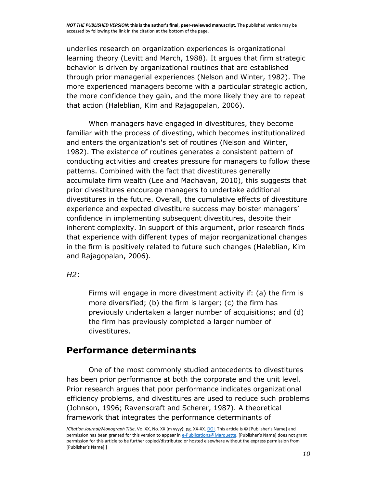underlies research on organization experiences is organizational learning theory (Levitt and March, [1988\)](http://onlinelibrary.wiley.com/doi/10.1111/1467-8551.12145/full#bjom12145-bib-0067). It argues that firm strategic behavior is driven by organizational routines that are established through prior managerial experiences (Nelson and Winter, [1982\)](http://onlinelibrary.wiley.com/doi/10.1111/1467-8551.12145/full#bjom12145-bib-0077). The more experienced managers become with a particular strategic action, the more confidence they gain, and the more likely they are to repeat that action (Haleblian, Kim and Rajagopalan, [2006\)](http://onlinelibrary.wiley.com/doi/10.1111/1467-8551.12145/full#bjom12145-bib-0043).

When managers have engaged in divestitures, they become familiar with the process of divesting, which becomes institutionalized and enters the organization's set of routines (Nelson and Winter, [1982\)](http://onlinelibrary.wiley.com/doi/10.1111/1467-8551.12145/full#bjom12145-bib-0077). The existence of routines generates a consistent pattern of conducting activities and creates pressure for managers to follow these patterns. Combined with the fact that divestitures generally accumulate firm wealth (Lee and Madhavan, [2010\)](http://onlinelibrary.wiley.com/doi/10.1111/1467-8551.12145/full#bjom12145-bib-0066), this suggests that prior divestitures encourage managers to undertake additional divestitures in the future. Overall, the cumulative effects of divestiture experience and expected divestiture success may bolster managers' confidence in implementing subsequent divestitures, despite their inherent complexity. In support of this argument, prior research finds that experience with different types of major reorganizational changes in the firm is positively related to future such changes (Haleblian, Kim and Rajagopalan, [2006\)](http://onlinelibrary.wiley.com/doi/10.1111/1467-8551.12145/full#bjom12145-bib-0043).

*H2*:

Firms will engage in more divestment activity if: (a) the firm is more diversified; (b) the firm is larger; (c) the firm has previously undertaken a larger number of acquisitions; and (d) the firm has previously completed a larger number of divestitures.

#### **Performance determinants**

One of the most commonly studied antecedents to divestitures has been prior performance at both the corporate and the unit level. Prior research argues that poor performance indicates organizational efficiency problems, and divestitures are used to reduce such problems (Johnson, [1996;](http://onlinelibrary.wiley.com/doi/10.1111/1467-8551.12145/full#bjom12145-bib-0058) Ravenscraft and Scherer, [1987\)](http://onlinelibrary.wiley.com/doi/10.1111/1467-8551.12145/full#bjom12145-bib-0085). A theoretical framework that integrates the performance determinants of

*<sup>[</sup>Citation Journal/Monograph Title*, Vol XX, No. XX (m yyyy): pg. XX-XX[. DOI.](file:///C:/Users/olsons/Desktop/Desktop/author%20versions/dx.doi.org/10.1016/j.acalib.2009.06.017) This article is © [Publisher's Name] and permission has been granted for this version to appear i[n e-Publications@Marquette.](http://epublications.marquette.edu/) [Publisher's Name] does not grant permission for this article to be further copied/distributed or hosted elsewhere without the express permission from [Publisher's Name].]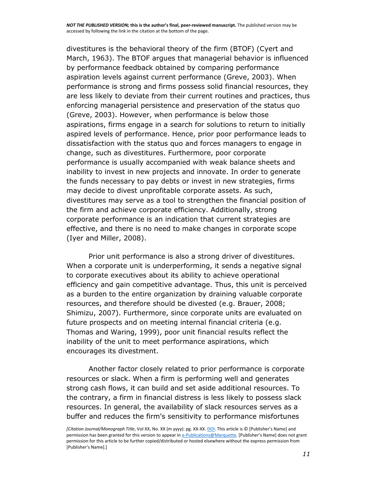divestitures is the behavioral theory of the firm (BTOF) (Cyert and March, [1963\)](http://onlinelibrary.wiley.com/doi/10.1111/1467-8551.12145/full#bjom12145-bib-0021). The BTOF argues that managerial behavior is influenced by performance feedback obtained by comparing performance aspiration levels against current performance (Greve, [2003\)](http://onlinelibrary.wiley.com/doi/10.1111/1467-8551.12145/full#bjom12145-bib-0042). When performance is strong and firms possess solid financial resources, they are less likely to deviate from their current routines and practices, thus enforcing managerial persistence and preservation of the status quo (Greve, [2003\)](http://onlinelibrary.wiley.com/doi/10.1111/1467-8551.12145/full#bjom12145-bib-0042). However, when performance is below those aspirations, firms engage in a search for solutions to return to initially aspired levels of performance. Hence, prior poor performance leads to dissatisfaction with the status quo and forces managers to engage in change, such as divestitures. Furthermore, poor corporate performance is usually accompanied with weak balance sheets and inability to invest in new projects and innovate. In order to generate the funds necessary to pay debts or invest in new strategies, firms may decide to divest unprofitable corporate assets. As such, divestitures may serve as a tool to strengthen the financial position of the firm and achieve corporate efficiency. Additionally, strong corporate performance is an indication that current strategies are effective, and there is no need to make changes in corporate scope (Iyer and Miller, [2008\)](http://onlinelibrary.wiley.com/doi/10.1111/1467-8551.12145/full#bjom12145-bib-0055).

Prior unit performance is also a strong driver of divestitures. When a corporate unit is underperforming, it sends a negative signal to corporate executives about its ability to achieve operational efficiency and gain competitive advantage. Thus, this unit is perceived as a burden to the entire organization by draining valuable corporate resources, and therefore should be divested (e.g. Brauer, [2008;](http://onlinelibrary.wiley.com/doi/10.1111/1467-8551.12145/full#bjom12145-bib-0016) Shimizu, [2007\)](http://onlinelibrary.wiley.com/doi/10.1111/1467-8551.12145/full#bjom12145-bib-0088). Furthermore, since corporate units are evaluated on future prospects and on meeting internal financial criteria (e.g. Thomas and Waring, [1999\)](http://onlinelibrary.wiley.com/doi/10.1111/1467-8551.12145/full#bjom12145-bib-0091), poor unit financial results reflect the inability of the unit to meet performance aspirations, which encourages its divestment.

Another factor closely related to prior performance is corporate resources or slack. When a firm is performing well and generates strong cash flows, it can build and set aside additional resources. To the contrary, a firm in financial distress is less likely to possess slack resources. In general, the availability of slack resources serves as a buffer and reduces the firm's sensitivity to performance misfortunes

*<sup>[</sup>Citation Journal/Monograph Title*, Vol XX, No. XX (m yyyy): pg. XX-XX[. DOI.](file:///C:/Users/olsons/Desktop/Desktop/author%20versions/dx.doi.org/10.1016/j.acalib.2009.06.017) This article is © [Publisher's Name] and permission has been granted for this version to appear i[n e-Publications@Marquette.](http://epublications.marquette.edu/) [Publisher's Name] does not grant permission for this article to be further copied/distributed or hosted elsewhere without the express permission from [Publisher's Name].]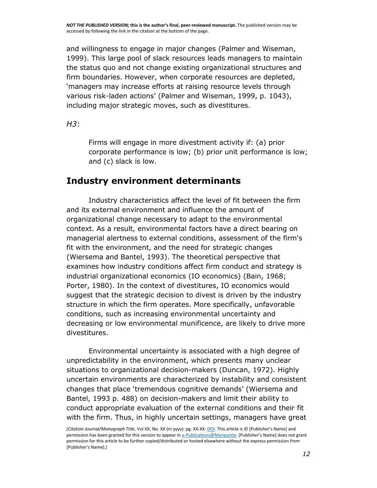and willingness to engage in major changes (Palmer and Wiseman, [1999\)](http://onlinelibrary.wiley.com/doi/10.1111/1467-8551.12145/full#bjom12145-bib-0079). This large pool of slack resources leads managers to maintain the status quo and not change existing organizational structures and firm boundaries. However, when corporate resources are depleted, 'managers may increase efforts at raising resource levels through various risk-laden actions' (Palmer and Wiseman, [1999,](http://onlinelibrary.wiley.com/doi/10.1111/1467-8551.12145/full#bjom12145-bib-0079) p. 1043), including major strategic moves, such as divestitures.

*H3*:

Firms will engage in more divestment activity if: (a) prior corporate performance is low; (b) prior unit performance is low; and (c) slack is low.

## **Industry environment determinants**

Industry characteristics affect the level of fit between the firm and its external environment and influence the amount of organizational change necessary to adapt to the environmental context. As a result, environmental factors have a direct bearing on managerial alertness to external conditions, assessment of the firm's fit with the environment, and the need for strategic changes (Wiersema and Bantel, [1993\)](http://onlinelibrary.wiley.com/doi/10.1111/1467-8551.12145/full#bjom12145-bib-0094). The theoretical perspective that examines how industry conditions affect firm conduct and strategy is industrial organizational economics (IO economics) (Bain, [1968;](http://onlinelibrary.wiley.com/doi/10.1111/1467-8551.12145/full#bjom12145-bib-0005) Porter, [1980\)](http://onlinelibrary.wiley.com/doi/10.1111/1467-8551.12145/full#bjom12145-bib-0082). In the context of divestitures, IO economics would suggest that the strategic decision to divest is driven by the industry structure in which the firm operates. More specifically, unfavorable conditions, such as increasing environmental uncertainty and decreasing or low environmental munificence, are likely to drive more divestitures.

Environmental uncertainty is associated with a high degree of unpredictability in the environment, which presents many unclear situations to organizational decision-makers (Duncan, [1972\)](http://onlinelibrary.wiley.com/doi/10.1111/1467-8551.12145/full#bjom12145-bib-0032). Highly uncertain environments are characterized by instability and consistent changes that place 'tremendous cognitive demands' (Wiersema and Bantel, [1993](http://onlinelibrary.wiley.com/doi/10.1111/1467-8551.12145/full#bjom12145-bib-0094) p. 488) on decision-makers and limit their ability to conduct appropriate evaluation of the external conditions and their fit with the firm. Thus, in highly uncertain settings, managers have great

*<sup>[</sup>Citation Journal/Monograph Title*, Vol XX, No. XX (m yyyy): pg. XX-XX[. DOI.](file:///C:/Users/olsons/Desktop/Desktop/author%20versions/dx.doi.org/10.1016/j.acalib.2009.06.017) This article is © [Publisher's Name] and permission has been granted for this version to appear i[n e-Publications@Marquette.](http://epublications.marquette.edu/) [Publisher's Name] does not grant permission for this article to be further copied/distributed or hosted elsewhere without the express permission from [Publisher's Name].]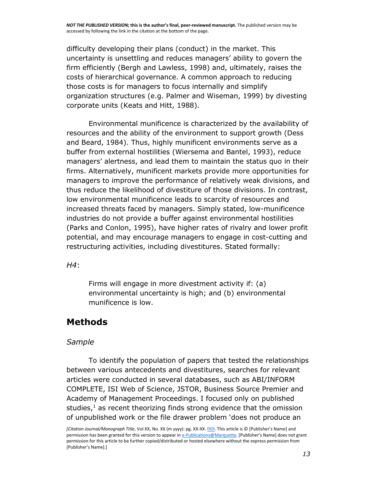difficulty developing their plans (conduct) in the market. This uncertainty is unsettling and reduces managers' ability to govern the firm efficiently (Bergh and Lawless, [1998\)](http://onlinelibrary.wiley.com/doi/10.1111/1467-8551.12145/full#bjom12145-bib-0009) and, ultimately, raises the costs of hierarchical governance. A common approach to reducing those costs is for managers to focus internally and simplify organization structures (e.g. Palmer and Wiseman, [1999\)](http://onlinelibrary.wiley.com/doi/10.1111/1467-8551.12145/full#bjom12145-bib-0079) by divesting corporate units (Keats and Hitt, [1988\)](http://onlinelibrary.wiley.com/doi/10.1111/1467-8551.12145/full#bjom12145-bib-0059).

Environmental munificence is characterized by the availability of resources and the ability of the environment to support growth (Dess and Beard, [1984\)](http://onlinelibrary.wiley.com/doi/10.1111/1467-8551.12145/full#bjom12145-bib-0027). Thus, highly munificent environments serve as a buffer from external hostilities (Wiersema and Bantel, [1993\)](http://onlinelibrary.wiley.com/doi/10.1111/1467-8551.12145/full#bjom12145-bib-0094), reduce managers' alertness, and lead them to maintain the status quo in their firms. Alternatively, munificent markets provide more opportunities for managers to improve the performance of relatively weak divisions, and thus reduce the likelihood of divestiture of those divisions. In contrast, low environmental munificence leads to scarcity of resources and increased threats faced by managers. Simply stated, low-munificence industries do not provide a buffer against environmental hostilities (Parks and Conlon, [1995\)](http://onlinelibrary.wiley.com/doi/10.1111/1467-8551.12145/full#bjom12145-bib-0080), have higher rates of rivalry and lower profit potential, and may encourage managers to engage in cost-cutting and restructuring activities, including divestitures. Stated formally:

*H4*:

Firms will engage in more divestment activity if: (a) environmental uncertainty is high; and (b) environmental munificence is low.

#### **Methods**

#### *Sample*

To identify the population of papers that tested the relationships between various antecedents and divestitures, searches for relevant articles were conducted in several databases, such as ABI/INFORM COMPLETE, ISI Web of Science, JSTOR, Business Source Premier and Academy of Management Proceedings. I focused only on published studies, $<sup>1</sup>$  $<sup>1</sup>$  $<sup>1</sup>$  as recent theorizing finds strong evidence that the omission</sup> of unpublished work or the file drawer problem 'does not produce an

*<sup>[</sup>Citation Journal/Monograph Title*, Vol XX, No. XX (m yyyy): pg. XX-XX[. DOI.](file:///C:/Users/olsons/Desktop/Desktop/author%20versions/dx.doi.org/10.1016/j.acalib.2009.06.017) This article is © [Publisher's Name] and permission has been granted for this version to appear i[n e-Publications@Marquette.](http://epublications.marquette.edu/) [Publisher's Name] does not grant permission for this article to be further copied/distributed or hosted elsewhere without the express permission from [Publisher's Name].]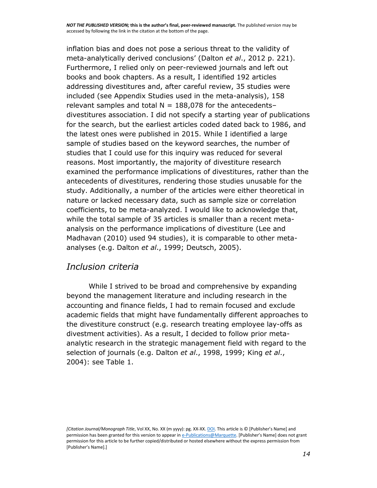inflation bias and does not pose a serious threat to the validity of meta-analytically derived conclusions' (Dalton *et al*., [2012](http://onlinelibrary.wiley.com/doi/10.1111/1467-8551.12145/full#bjom12145-bib-0022) p. 221). Furthermore, I relied only on peer-reviewed journals and left out books and book chapters. As a result, I identified 192 articles addressing divestitures and, after careful review, 35 studies were included (see Appendix [Studies used in the meta-analysis\)](http://onlinelibrary.wiley.com/doi/10.1111/1467-8551.12145/full#bjom12145-app-0001), 158 relevant samples and total  $N = 188,078$  for the antecedentsdivestitures association. I did not specify a starting year of publications for the search, but the earliest articles coded dated back to 1986, and the latest ones were published in 2015. While I identified a large sample of studies based on the keyword searches, the number of studies that I could use for this inquiry was reduced for several reasons. Most importantly, the majority of divestiture research examined the performance implications of divestitures, rather than the antecedents of divestitures, rendering those studies unusable for the study. Additionally, a number of the articles were either theoretical in nature or lacked necessary data, such as sample size or correlation coefficients, to be meta-analyzed. I would like to acknowledge that, while the total sample of 35 articles is smaller than a recent metaanalysis on the performance implications of divestiture (Lee and Madhavan [\(2010\)](http://onlinelibrary.wiley.com/doi/10.1111/1467-8551.12145/full#bjom12145-bib-0066) used 94 studies), it is comparable to other metaanalyses (e.g. Dalton *et al*., [1999;](http://onlinelibrary.wiley.com/doi/10.1111/1467-8551.12145/full#bjom12145-bib-0025) Deutsch, [2005\)](http://onlinelibrary.wiley.com/doi/10.1111/1467-8551.12145/full#bjom12145-bib-0028).

#### *Inclusion criteria*

While I strived to be broad and comprehensive by expanding beyond the management literature and including research in the accounting and finance fields, I had to remain focused and exclude academic fields that might have fundamentally different approaches to the divestiture construct (e.g. research treating employee lay-offs as divestment activities). As a result, I decided to follow prior metaanalytic research in the strategic management field with regard to the selection of journals (e.g. Dalton *et al*., [1998,](http://onlinelibrary.wiley.com/doi/10.1111/1467-8551.12145/full#bjom12145-bib-0024) 1999; King *et al*., [2004\)](http://onlinelibrary.wiley.com/doi/10.1111/1467-8551.12145/full#bjom12145-bib-0061): see Table [1.](http://onlinelibrary.wiley.com/doi/10.1111/1467-8551.12145/full#bjom12145-tbl-0001)

*<sup>[</sup>Citation Journal/Monograph Title*, Vol XX, No. XX (m yyyy): pg. XX-XX[. DOI.](file:///C:/Users/olsons/Desktop/Desktop/author%20versions/dx.doi.org/10.1016/j.acalib.2009.06.017) This article is © [Publisher's Name] and permission has been granted for this version to appear i[n e-Publications@Marquette.](http://epublications.marquette.edu/) [Publisher's Name] does not grant permission for this article to be further copied/distributed or hosted elsewhere without the express permission from [Publisher's Name].]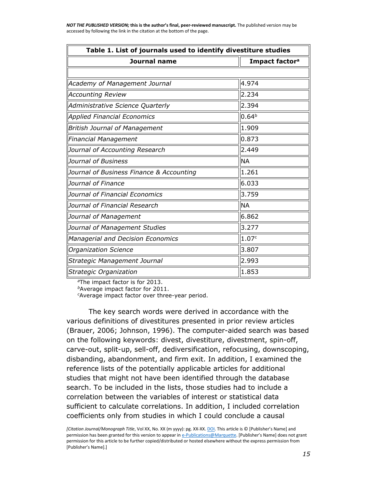| Table 1. List of journals used to identify divestiture studies |                            |
|----------------------------------------------------------------|----------------------------|
| <b>Journal name</b>                                            | Impact factor <sup>a</sup> |
|                                                                |                            |
| Academy of Management Journal                                  | 4.974                      |
| <b>Accounting Review</b>                                       | 2.234                      |
| Administrative Science Quarterly                               | 2.394                      |
| <b>Applied Financial Economics</b>                             | 0.64 <sup>b</sup>          |
| <b>British Journal of Management</b>                           | 1.909                      |
| Financial Management                                           | 0.873                      |
| Journal of Accounting Research                                 | 2.449                      |
| Journal of Business                                            | <b>NA</b>                  |
| Journal of Business Finance & Accounting                       | 1.261                      |
| Journal of Finance                                             | 6.033                      |
| Journal of Financial Economics                                 | 3.759                      |
| Journal of Financial Research                                  | <b>NA</b>                  |
| Journal of Management                                          | 6.862                      |
| Journal of Management Studies                                  | 3.277                      |
| Managerial and Decision Economics                              | 1.07c                      |
| Organization Science                                           | 3.807                      |
| Strategic Management Journal                                   | 2.993                      |
| Strategic Organization                                         | 1.853                      |

*<sup>a</sup>*The impact factor is for 2013.

*<sup>b</sup>*Average impact factor for 2011.

*<sup>c</sup>*Average impact factor over three-year period.

The key search words were derived in accordance with the various definitions of divestitures presented in prior review articles (Brauer, [2006;](http://onlinelibrary.wiley.com/doi/10.1111/1467-8551.12145/full#bjom12145-bib-0015) Johnson, [1996\)](http://onlinelibrary.wiley.com/doi/10.1111/1467-8551.12145/full#bjom12145-bib-0058). The computer-aided search was based on the following keywords: divest, divestiture, divestment, spin-off, carve-out, split-up, sell-off, dediversification, refocusing, downscoping, disbanding, abandonment, and firm exit. In addition, I examined the reference lists of the potentially applicable articles for additional studies that might not have been identified through the database search. To be included in the lists, those studies had to include a correlation between the variables of interest or statistical data sufficient to calculate correlations. In addition, I included correlation coefficients only from studies in which I could conclude a causal

*[Citation Journal/Monograph Title*, Vol XX, No. XX (m yyyy): pg. XX-XX[. DOI.](file:///C:/Users/olsons/Desktop/Desktop/author%20versions/dx.doi.org/10.1016/j.acalib.2009.06.017) This article is © [Publisher's Name] and permission has been granted for this version to appear i[n e-Publications@Marquette.](http://epublications.marquette.edu/) [Publisher's Name] does not grant permission for this article to be further copied/distributed or hosted elsewhere without the express permission from [Publisher's Name].]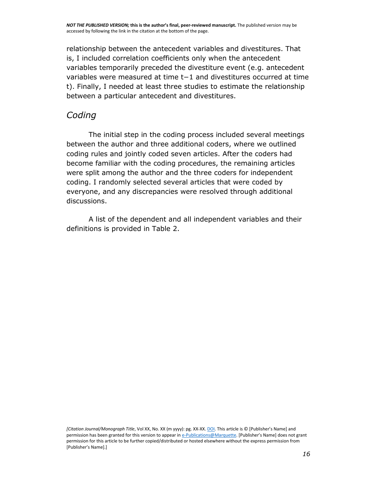relationship between the antecedent variables and divestitures. That is, I included correlation coefficients only when the antecedent variables temporarily preceded the divestiture event (e.g. antecedent variables were measured at time t−1 and divestitures occurred at time t). Finally, I needed at least three studies to estimate the relationship between a particular antecedent and divestitures.

#### *Coding*

The initial step in the coding process included several meetings between the author and three additional coders, where we outlined coding rules and jointly coded seven articles. After the coders had become familiar with the coding procedures, the remaining articles were split among the author and the three coders for independent coding. I randomly selected several articles that were coded by everyone, and any discrepancies were resolved through additional discussions.

A list of the dependent and all independent variables and their definitions is provided in Table [2.](http://onlinelibrary.wiley.com/doi/10.1111/1467-8551.12145/full#bjom12145-tbl-0002)

*[Citation Journal/Monograph Title*, Vol XX, No. XX (m yyyy): pg. XX-XX[. DOI.](file:///C:/Users/olsons/Desktop/Desktop/author%20versions/dx.doi.org/10.1016/j.acalib.2009.06.017) This article is © [Publisher's Name] and permission has been granted for this version to appear i[n e-Publications@Marquette.](http://epublications.marquette.edu/) [Publisher's Name] does not grant permission for this article to be further copied/distributed or hosted elsewhere without the express permission from [Publisher's Name].]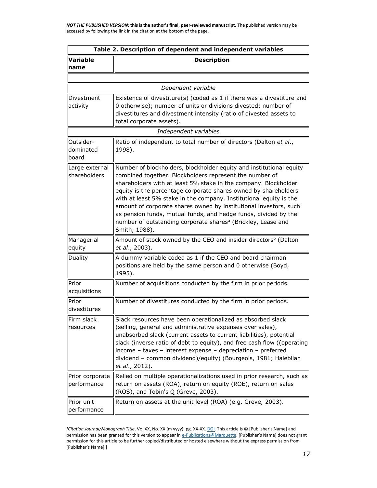| Table 2. Description of dependent and independent variables |                                                                                                                                                                                                                                                                                                                                                                                                                                                                                                                                                                                 |  |  |  |  |  |  |  |
|-------------------------------------------------------------|---------------------------------------------------------------------------------------------------------------------------------------------------------------------------------------------------------------------------------------------------------------------------------------------------------------------------------------------------------------------------------------------------------------------------------------------------------------------------------------------------------------------------------------------------------------------------------|--|--|--|--|--|--|--|
| <b>Variable</b><br>name                                     | <b>Description</b>                                                                                                                                                                                                                                                                                                                                                                                                                                                                                                                                                              |  |  |  |  |  |  |  |
|                                                             |                                                                                                                                                                                                                                                                                                                                                                                                                                                                                                                                                                                 |  |  |  |  |  |  |  |
|                                                             | Dependent variable                                                                                                                                                                                                                                                                                                                                                                                                                                                                                                                                                              |  |  |  |  |  |  |  |
| Divestment<br>activity                                      | Existence of divestiture(s) (coded as 1 if there was a divestiture and<br>0 otherwise); number of units or divisions divested; number of<br>divestitures and divestment intensity (ratio of divested assets to<br>total corporate assets).                                                                                                                                                                                                                                                                                                                                      |  |  |  |  |  |  |  |
|                                                             | Independent variables                                                                                                                                                                                                                                                                                                                                                                                                                                                                                                                                                           |  |  |  |  |  |  |  |
| Outsider-<br>dominated<br>board                             | Ratio of independent to total number of directors (Dalton et al.,<br>1998).                                                                                                                                                                                                                                                                                                                                                                                                                                                                                                     |  |  |  |  |  |  |  |
| Large external<br>shareholders                              | Number of blockholders, blockholder equity and institutional equity<br>combined together. Blockholders represent the number of<br>shareholders with at least 5% stake in the company. Blockholder<br>equity is the percentage corporate shares owned by shareholders<br>with at least 5% stake in the company. Institutional equity is the<br>amount of corporate shares owned by institutional investors, such<br>as pension funds, mutual funds, and hedge funds, divided by the<br>number of outstanding corporate shares <sup>a</sup> (Brickley, Lease and<br>Smith, 1988). |  |  |  |  |  |  |  |
| Managerial<br>equity                                        | Amount of stock owned by the CEO and insider directors <sup>b</sup> (Dalton<br>et al., 2003).                                                                                                                                                                                                                                                                                                                                                                                                                                                                                   |  |  |  |  |  |  |  |
| Duality                                                     | A dummy variable coded as 1 if the CEO and board chairman<br>positions are held by the same person and 0 otherwise (Boyd,<br>1995).                                                                                                                                                                                                                                                                                                                                                                                                                                             |  |  |  |  |  |  |  |
| Prior<br>acquisitions                                       | Number of acquisitions conducted by the firm in prior periods.                                                                                                                                                                                                                                                                                                                                                                                                                                                                                                                  |  |  |  |  |  |  |  |
| Prior<br>divestitures                                       | Number of divestitures conducted by the firm in prior periods.                                                                                                                                                                                                                                                                                                                                                                                                                                                                                                                  |  |  |  |  |  |  |  |
| Firm slack<br>resources                                     | Slack resources have been operationalized as absorbed slack<br>(selling, general and administrative expenses over sales),<br>unabsorbed slack (current assets to current liabilities), potential<br>slack (inverse ratio of debt to equity), and free cash flow ((operating<br>income - taxes - interest expense - depreciation - preferred<br>dividend - common dividend)/equity) (Bourgeois, 1981; Haleblian<br>et al., 2012).                                                                                                                                                |  |  |  |  |  |  |  |
| Prior corporate<br>performance                              | Relied on multiple operationalizations used in prior research, such as<br>return on assets (ROA), return on equity (ROE), return on sales<br>(ROS), and Tobin's Q (Greve, 2003).                                                                                                                                                                                                                                                                                                                                                                                                |  |  |  |  |  |  |  |
| Prior unit<br>performance                                   | Return on assets at the unit level (ROA) (e.g. Greve, 2003).                                                                                                                                                                                                                                                                                                                                                                                                                                                                                                                    |  |  |  |  |  |  |  |

*<sup>[</sup>Citation Journal/Monograph Title*, Vol XX, No. XX (m yyyy): pg. XX-XX[. DOI.](file:///C:/Users/olsons/Desktop/Desktop/author%20versions/dx.doi.org/10.1016/j.acalib.2009.06.017) This article is © [Publisher's Name] and permission has been granted for this version to appear i[n e-Publications@Marquette.](http://epublications.marquette.edu/) [Publisher's Name] does not grant permission for this article to be further copied/distributed or hosted elsewhere without the express permission from [Publisher's Name].]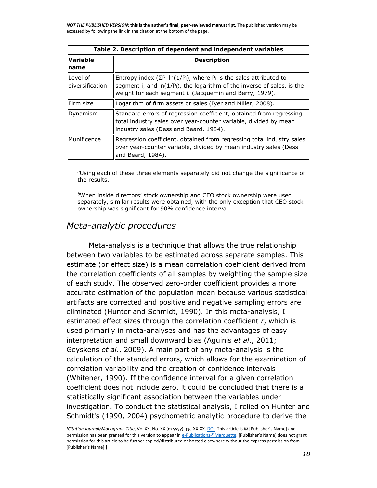|                             | Table 2. Description of dependent and independent variables                                                                                                                                                               |  |  |  |  |  |  |  |
|-----------------------------|---------------------------------------------------------------------------------------------------------------------------------------------------------------------------------------------------------------------------|--|--|--|--|--|--|--|
| <b>Variable</b><br>Iname    | <b>Description</b>                                                                                                                                                                                                        |  |  |  |  |  |  |  |
| Level of<br>diversification | Entropy index ( $\Sigma P_i \ln(1/P_i)$ , where $P_i$ is the sales attributed to<br>segment i, and $ln(1/P_i)$ , the logarithm of the inverse of sales, is the<br>weight for each segment i. (Jacquemin and Berry, 1979). |  |  |  |  |  |  |  |
| lFirm size                  | Logarithm of firm assets or sales (Iyer and Miller, 2008).                                                                                                                                                                |  |  |  |  |  |  |  |
| Dynamism                    | Standard errors of regression coefficient, obtained from regressing<br>total industry sales over year-counter variable, divided by mean<br>industry sales (Dess and Beard, 1984).                                         |  |  |  |  |  |  |  |
| Munificence                 | Regression coefficient, obtained from regressing total industry sales<br>over year-counter variable, divided by mean industry sales (Dess<br>land Beard, 1984).                                                           |  |  |  |  |  |  |  |

*<sup>a</sup>*Using each of these three elements separately did not change the significance of the results.

*<sup>b</sup>*When inside directors' stock ownership and CEO stock ownership were used separately, similar results were obtained, with the only exception that CEO stock ownership was significant for 90% confidence interval.

#### *Meta-analytic procedures*

Meta-analysis is a technique that allows the true relationship between two variables to be estimated across separate samples. This estimate (or effect size) is a mean correlation coefficient derived from the correlation coefficients of all samples by weighting the sample size of each study. The observed zero-order coefficient provides a more accurate estimation of the population mean because various statistical artifacts are corrected and positive and negative sampling errors are eliminated (Hunter and Schmidt, [1990\)](http://onlinelibrary.wiley.com/doi/10.1111/1467-8551.12145/full#bjom12145-bib-0053). In this meta-analysis, I estimated effect sizes through the correlation coefficient *r*, which is used primarily in meta-analyses and has the advantages of easy interpretation and small downward bias (Aguinis *et al*., [2011;](http://onlinelibrary.wiley.com/doi/10.1111/1467-8551.12145/full#bjom12145-bib-0001) Geyskens *et al*., [2009\)](http://onlinelibrary.wiley.com/doi/10.1111/1467-8551.12145/full#bjom12145-bib-0036). A main part of any meta-analysis is the calculation of the standard errors, which allows for the examination of correlation variability and the creation of confidence intervals (Whitener, [1990\)](http://onlinelibrary.wiley.com/doi/10.1111/1467-8551.12145/full#bjom12145-bib-0093). If the confidence interval for a given correlation coefficient does not include zero, it could be concluded that there is a statistically significant association between the variables under investigation. To conduct the statistical analysis, I relied on Hunter and Schmidt's [\(1990,](http://onlinelibrary.wiley.com/doi/10.1111/1467-8551.12145/full#bjom12145-bib-0053) [2004\)](http://onlinelibrary.wiley.com/doi/10.1111/1467-8551.12145/full#bjom12145-bib-0054) psychometric analytic procedure to derive the

*<sup>[</sup>Citation Journal/Monograph Title*, Vol XX, No. XX (m yyyy): pg. XX-XX[. DOI.](file:///C:/Users/olsons/Desktop/Desktop/author%20versions/dx.doi.org/10.1016/j.acalib.2009.06.017) This article is © [Publisher's Name] and permission has been granted for this version to appear i[n e-Publications@Marquette.](http://epublications.marquette.edu/) [Publisher's Name] does not grant permission for this article to be further copied/distributed or hosted elsewhere without the express permission from [Publisher's Name].]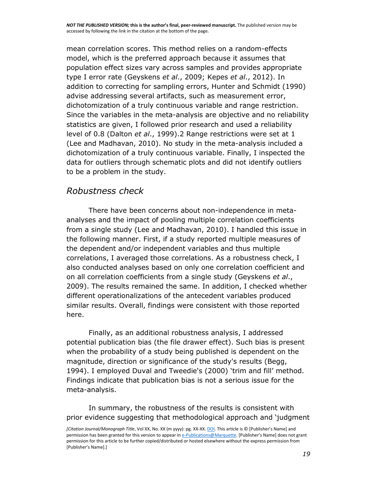mean correlation scores. This method relies on a random-effects model, which is the preferred approach because it assumes that population effect sizes vary across samples and provides appropriate type I error rate (Geyskens *et al*., [2009;](http://onlinelibrary.wiley.com/doi/10.1111/1467-8551.12145/full#bjom12145-bib-0036) Kepes *et al*., [2012\)](http://onlinelibrary.wiley.com/doi/10.1111/1467-8551.12145/full#bjom12145-bib-0060). In addition to correcting for sampling errors, Hunter and Schmidt [\(1990\)](http://onlinelibrary.wiley.com/doi/10.1111/1467-8551.12145/full#bjom12145-bib-0053) advise addressing several artifacts, such as measurement error, dichotomization of a truly continuous variable and range restriction. Since the variables in the meta-analysis are objective and no reliability statistics are given, I followed prior research and used a reliability level of 0.8 (Dalton *et al*., [1999\)](http://onlinelibrary.wiley.com/doi/10.1111/1467-8551.12145/full#bjom12145-bib-0025)[.2](http://onlinelibrary.wiley.com/doi/10.1111/1467-8551.12145/full#bjom12145-note-0003) Range restrictions were set at 1 (Lee and Madhavan, [2010\)](http://onlinelibrary.wiley.com/doi/10.1111/1467-8551.12145/full#bjom12145-bib-0066). No study in the meta-analysis included a dichotomization of a truly continuous variable. Finally, I inspected the data for outliers through schematic plots and did not identify outliers to be a problem in the study.

## *Robustness check*

There have been concerns about non-independence in metaanalyses and the impact of pooling multiple correlation coefficients from a single study (Lee and Madhavan, [2010\)](http://onlinelibrary.wiley.com/doi/10.1111/1467-8551.12145/full#bjom12145-bib-0066). I handled this issue in the following manner. First, if a study reported multiple measures of the dependent and/or independent variables and thus multiple correlations, I averaged those correlations. As a robustness check, I also conducted analyses based on only one correlation coefficient and on all correlation coefficients from a single study (Geyskens *et al*., [2009\)](http://onlinelibrary.wiley.com/doi/10.1111/1467-8551.12145/full#bjom12145-bib-0036). The results remained the same. In addition, I checked whether different operationalizations of the antecedent variables produced similar results. Overall, findings were consistent with those reported here.

Finally, as an additional robustness analysis, I addressed potential publication bias (the file drawer effect). Such bias is present when the probability of a study being published is dependent on the magnitude, direction or significance of the study's results (Begg, [1994\)](http://onlinelibrary.wiley.com/doi/10.1111/1467-8551.12145/full#bjom12145-bib-0007). I employed Duval and Tweedie's [\(2000](http://onlinelibrary.wiley.com/doi/10.1111/1467-8551.12145/full#bjom12145-bib-0033)) 'trim and fill' method. Findings indicate that publication bias is not a serious issue for the meta-analysis.

In summary, the robustness of the results is consistent with prior evidence suggesting that methodological approach and 'judgment

*<sup>[</sup>Citation Journal/Monograph Title*, Vol XX, No. XX (m yyyy): pg. XX-XX[. DOI.](file:///C:/Users/olsons/Desktop/Desktop/author%20versions/dx.doi.org/10.1016/j.acalib.2009.06.017) This article is © [Publisher's Name] and permission has been granted for this version to appear i[n e-Publications@Marquette.](http://epublications.marquette.edu/) [Publisher's Name] does not grant permission for this article to be further copied/distributed or hosted elsewhere without the express permission from [Publisher's Name].]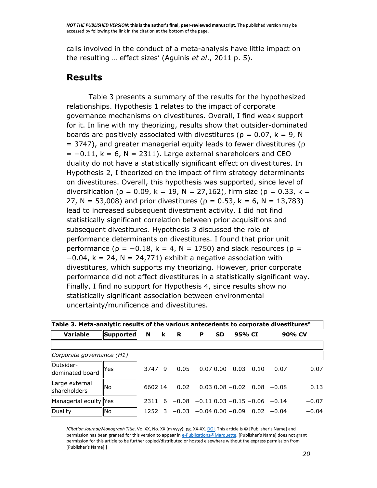calls involved in the conduct of a meta-analysis have little impact on the resulting … effect sizes' (Aguinis *et al*., [2011](http://onlinelibrary.wiley.com/doi/10.1111/1467-8551.12145/full#bjom12145-bib-0001) p. 5).

#### **Results**

Table [3](http://onlinelibrary.wiley.com/doi/10.1111/1467-8551.12145/full#bjom12145-tbl-0003) presents a summary of the results for the hypothesized relationships. Hypothesis 1 relates to the impact of corporate governance mechanisms on divestitures. Overall, I find weak support for it. In line with my theorizing, results show that outsider-dominated boards are positively associated with divestitures ( $\rho = 0.07$ ,  $k = 9$ , N = 3747), and greater managerial equity leads to fewer divestitures (ρ  $= -0.11$ , k = 6, N = 2311). Large external shareholders and CEO duality do not have a statistically significant effect on divestitures. In Hypothesis 2, I theorized on the impact of firm strategy determinants on divestitures. Overall, this hypothesis was supported, since level of diversification ( $\rho = 0.09$ , k = 19, N = 27,162), firm size ( $\rho = 0.33$ , k = 27, N = 53,008) and prior divestitures ( $\rho = 0.53$ , k = 6, N = 13,783) lead to increased subsequent divestment activity. I did not find statistically significant correlation between prior acquisitions and subsequent divestitures. Hypothesis 3 discussed the role of performance determinants on divestitures. I found that prior unit performance ( $\rho = -0.18$ , k = 4, N = 1750) and slack resources ( $\rho =$  $-0.04$ , k = 24, N = 24,771) exhibit a negative association with divestitures, which supports my theorizing. However, prior corporate performance did not affect divestitures in a statistically significant way. Finally, I find no support for Hypothesis 4, since results show no statistically significant association between environmental uncertainty/munificence and divestitures.

| Table 3. Meta-analytic results of the various antecedents to corporate divestitures <sup>a</sup> |                  |         |          |          |                                                    |           |                                    |      |      |         |  |
|--------------------------------------------------------------------------------------------------|------------------|---------|----------|----------|----------------------------------------------------|-----------|------------------------------------|------|------|---------|--|
| Variable                                                                                         | <b>Supported</b> | N       | <b>k</b> | <b>R</b> | P                                                  | <b>SD</b> | 95% CI                             |      |      | 90% CV  |  |
|                                                                                                  |                  |         |          |          |                                                    |           |                                    |      |      |         |  |
| Corporate governance (H1)                                                                        |                  |         |          |          |                                                    |           |                                    |      |      |         |  |
| Outsider-<br>dominated board                                                                     | lYes             | 3747 9  |          | 0.05     | $0.07\ 0.00$                                       |           | 0.03                               | 0.10 | 0.07 | 0.07    |  |
| Large external<br><b>Ishareholders</b>                                                           | lNo.             | 6602 14 |          | 0.02     |                                                    |           | $0.03$ $0.08 - 0.02$ $0.08 - 0.08$ |      |      | 0.13    |  |
| Managerial equity Yes                                                                            |                  | 2311    |          |          | $6 - 0.08 - 0.11$ 0.03 $-0.15$ -0.06 -0.14         |           |                                    |      |      | $-0.07$ |  |
| Duality                                                                                          | <b>No</b>        |         |          |          | $1252$ 3 $-0.03$ $-0.04$ 0.00 $-0.09$ 0.02 $-0.04$ |           |                                    |      |      | $-0.04$ |  |

*[Citation Journal/Monograph Title*, Vol XX, No. XX (m yyyy): pg. XX-XX[. DOI.](file:///C:/Users/olsons/Desktop/Desktop/author%20versions/dx.doi.org/10.1016/j.acalib.2009.06.017) This article is © [Publisher's Name] and permission has been granted for this version to appear i[n e-Publications@Marquette.](http://epublications.marquette.edu/) [Publisher's Name] does not grant permission for this article to be further copied/distributed or hosted elsewhere without the express permission from [Publisher's Name].]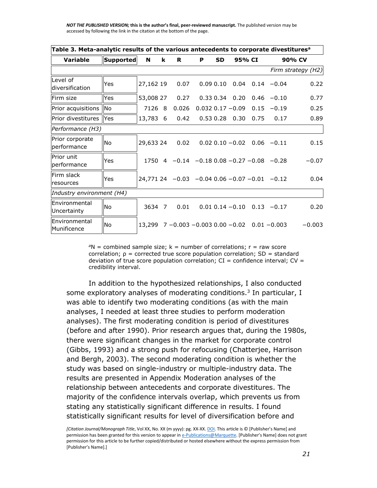| Table 3. Meta-analytic results of the various antecedents to corporate divestitures <sup>a</sup> |                  |           |   |                                                          |          |           |                       |                             |                                  |                    |  |
|--------------------------------------------------------------------------------------------------|------------------|-----------|---|----------------------------------------------------------|----------|-----------|-----------------------|-----------------------------|----------------------------------|--------------------|--|
| <b>Variable</b>                                                                                  | <b>Supported</b> | N         | k | R                                                        | P        | <b>SD</b> |                       | 95% CI                      | 90% CV                           |                    |  |
|                                                                                                  |                  |           |   |                                                          |          |           |                       |                             |                                  | Firm strategy (H2) |  |
| Level of<br>ldiversification                                                                     | Yes              | 27,162 19 |   | 0.07                                                     | 0.090.10 |           |                       |                             | $0.04$ $0.14$ $-0.04$            | 0.22               |  |
| lFirm size                                                                                       | <b>Yes</b>       | 53,008 27 |   | 0.27                                                     |          |           | $0.33\ 0.34\ 0.20$    | 0.46                        | $-0.10$                          | 0.77               |  |
| Prior acquisitions No                                                                            |                  | 7126      | 8 | 0.026                                                    |          |           | $0.032$ $0.17 - 0.09$ | 0.15                        | $-0.19$                          | 0.25               |  |
| Prior divestitures IlYes                                                                         |                  | 13,783 6  |   | 0.42                                                     |          |           | $0.53$ $0.28$ $0.30$  | 0.75                        | 0.17                             | 0.89               |  |
| Performance (H3)                                                                                 |                  |           |   |                                                          |          |           |                       |                             |                                  |                    |  |
| Prior corporate<br>performance                                                                   | No               | 29,633 24 |   | 0.02                                                     |          |           |                       | $0.02$ $0.10 - 0.02$ $0.06$ | $-0.11$                          | 0.15               |  |
| lPrior unit<br>performance                                                                       | Yes              | 1750      |   | $4 -0.14 -0.180.08 -0.27 -0.08 -0.28$                    |          |           |                       |                             |                                  | $-0.07$            |  |
| lFirm slack<br>resources                                                                         | Yes              |           |   | $24,771$ 24 $-0.03$ $-0.04$ 0.06 $-0.07$ $-0.01$ $-0.12$ |          |           |                       |                             |                                  | 0.04               |  |
| Industry environment (H4)                                                                        |                  |           |   |                                                          |          |           |                       |                             |                                  |                    |  |
| Environmental<br>Uncertainty                                                                     | <b>No</b>        | 3634 7    |   | 0.01                                                     |          |           |                       |                             | $0.01$ 0.14 $-0.10$ 0.13 $-0.17$ | 0.20               |  |
| Environmental<br>Munificence                                                                     | <b>No</b>        | 13,299    |   | $7 - 0.003 - 0.003$ 0.00 $-0.02$ 0.01 $-0.003$           |          |           |                       |                             |                                  | $-0.003$           |  |

 $P^2N$  = combined sample size;  $k =$  number of correlations;  $r =$  raw score correlation;  $p =$  corrected true score population correlation; SD = standard deviation of true score population correlation;  $CI =$  confidence interval;  $CV =$ credibility interval.

In addition to the hypothesized relationships, I also conducted some exploratory analyses of moderating conditions.<sup>[3](http://onlinelibrary.wiley.com/doi/10.1111/1467-8551.12145/full#bjom12145-note-0004)</sup> In particular, I was able to identify two moderating conditions (as with the main analyses, I needed at least three studies to perform moderation analyses). The first moderating condition is period of divestitures (before and after 1990). Prior research argues that, during the 1980s, there were significant changes in the market for corporate control (Gibbs, [1993\)](http://onlinelibrary.wiley.com/doi/10.1111/1467-8551.12145/full#bjom12145-bib-0038) and a strong push for refocusing (Chatterjee, Harrison and Bergh, [2003\)](http://onlinelibrary.wiley.com/doi/10.1111/1467-8551.12145/full#bjom12145-bib-0019). The second moderating condition is whether the study was based on single-industry or multiple-industry data. The results are presented in Appendix [Moderation analyses of the](http://onlinelibrary.wiley.com/doi/10.1111/1467-8551.12145/full#bjom12145-app-0002)  [relationship between antecedents and corporate divestitures.](http://onlinelibrary.wiley.com/doi/10.1111/1467-8551.12145/full#bjom12145-app-0002) The majority of the confidence intervals overlap, which prevents us from stating any statistically significant difference in results. I found statistically significant results for level of diversification before and

*<sup>[</sup>Citation Journal/Monograph Title*, Vol XX, No. XX (m yyyy): pg. XX-XX[. DOI.](file:///C:/Users/olsons/Desktop/Desktop/author%20versions/dx.doi.org/10.1016/j.acalib.2009.06.017) This article is © [Publisher's Name] and permission has been granted for this version to appear i[n e-Publications@Marquette.](http://epublications.marquette.edu/) [Publisher's Name] does not grant permission for this article to be further copied/distributed or hosted elsewhere without the express permission from [Publisher's Name].]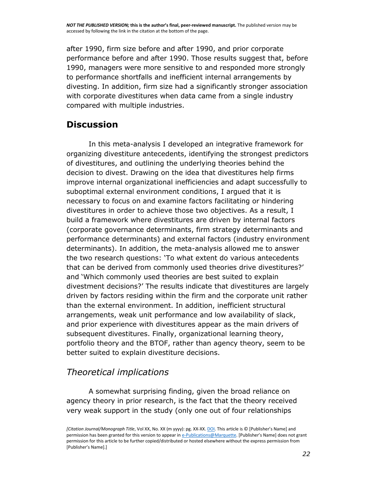after 1990, firm size before and after 1990, and prior corporate performance before and after 1990. Those results suggest that, before 1990, managers were more sensitive to and responded more strongly to performance shortfalls and inefficient internal arrangements by divesting. In addition, firm size had a significantly stronger association with corporate divestitures when data came from a single industry compared with multiple industries.

## **Discussion**

In this meta-analysis I developed an integrative framework for organizing divestiture antecedents, identifying the strongest predictors of divestitures, and outlining the underlying theories behind the decision to divest. Drawing on the idea that divestitures help firms improve internal organizational inefficiencies and adapt successfully to suboptimal external environment conditions, I argued that it is necessary to focus on and examine factors facilitating or hindering divestitures in order to achieve those two objectives. As a result, I build a framework where divestitures are driven by internal factors (corporate governance determinants, firm strategy determinants and performance determinants) and external factors (industry environment determinants). In addition, the meta-analysis allowed me to answer the two research questions: 'To what extent do various antecedents that can be derived from commonly used theories drive divestitures?' and 'Which commonly used theories are best suited to explain divestment decisions?' The results indicate that divestitures are largely driven by factors residing within the firm and the corporate unit rather than the external environment. In addition, inefficient structural arrangements, weak unit performance and low availability of slack, and prior experience with divestitures appear as the main drivers of subsequent divestitures. Finally, organizational learning theory, portfolio theory and the BTOF, rather than agency theory, seem to be better suited to explain divestiture decisions.

## *Theoretical implications*

A somewhat surprising finding, given the broad reliance on agency theory in prior research, is the fact that the theory received very weak support in the study (only one out of four relationships

*<sup>[</sup>Citation Journal/Monograph Title*, Vol XX, No. XX (m yyyy): pg. XX-XX[. DOI.](file:///C:/Users/olsons/Desktop/Desktop/author%20versions/dx.doi.org/10.1016/j.acalib.2009.06.017) This article is © [Publisher's Name] and permission has been granted for this version to appear i[n e-Publications@Marquette.](http://epublications.marquette.edu/) [Publisher's Name] does not grant permission for this article to be further copied/distributed or hosted elsewhere without the express permission from [Publisher's Name].]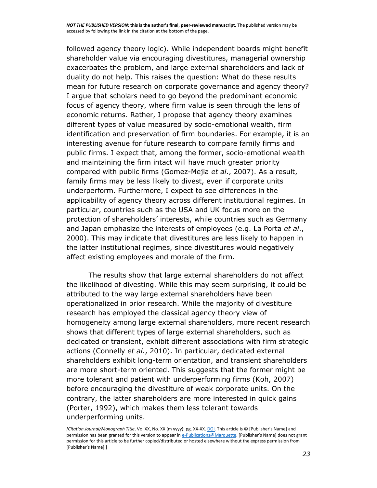followed agency theory logic). While independent boards might benefit shareholder value via encouraging divestitures, managerial ownership exacerbates the problem, and large external shareholders and lack of duality do not help. This raises the question: What do these results mean for future research on corporate governance and agency theory? I argue that scholars need to go beyond the predominant economic focus of agency theory, where firm value is seen through the lens of economic returns. Rather, I propose that agency theory examines different types of value measured by socio-emotional wealth, firm identification and preservation of firm boundaries. For example, it is an interesting avenue for future research to compare family firms and public firms. I expect that, among the former, socio-emotional wealth and maintaining the firm intact will have much greater priority compared with public firms (Gomez-Mejia *et al*., [2007\)](http://onlinelibrary.wiley.com/doi/10.1111/1467-8551.12145/full#bjom12145-bib-0040). As a result, family firms may be less likely to divest, even if corporate units underperform. Furthermore, I expect to see differences in the applicability of agency theory across different institutional regimes. In particular, countries such as the USA and UK focus more on the protection of shareholders' interests, while countries such as Germany and Japan emphasize the interests of employees (e.g. La Porta *et al*., [2000\)](http://onlinelibrary.wiley.com/doi/10.1111/1467-8551.12145/full#bjom12145-bib-0064). This may indicate that divestitures are less likely to happen in the latter institutional regimes, since divestitures would negatively affect existing employees and morale of the firm.

The results show that large external shareholders do not affect the likelihood of divesting. While this may seem surprising, it could be attributed to the way large external shareholders have been operationalized in prior research. While the majority of divestiture research has employed the classical agency theory view of homogeneity among large external shareholders, more recent research shows that different types of large external shareholders, such as dedicated or transient, exhibit different associations with firm strategic actions (Connelly *et al*., [2010\)](http://onlinelibrary.wiley.com/doi/10.1111/1467-8551.12145/full#bjom12145-bib-0020). In particular, dedicated external shareholders exhibit long-term orientation, and transient shareholders are more short-term oriented. This suggests that the former might be more tolerant and patient with underperforming firms (Koh, [2007\)](http://onlinelibrary.wiley.com/doi/10.1111/1467-8551.12145/full#bjom12145-bib-0063) before encouraging the divestiture of weak corporate units. On the contrary, the latter shareholders are more interested in quick gains (Porter, [1992\)](http://onlinelibrary.wiley.com/doi/10.1111/1467-8551.12145/full#bjom12145-bib-0083), which makes them less tolerant towards underperforming units.

*<sup>[</sup>Citation Journal/Monograph Title*, Vol XX, No. XX (m yyyy): pg. XX-XX[. DOI.](file:///C:/Users/olsons/Desktop/Desktop/author%20versions/dx.doi.org/10.1016/j.acalib.2009.06.017) This article is © [Publisher's Name] and permission has been granted for this version to appear i[n e-Publications@Marquette.](http://epublications.marquette.edu/) [Publisher's Name] does not grant permission for this article to be further copied/distributed or hosted elsewhere without the express permission from [Publisher's Name].]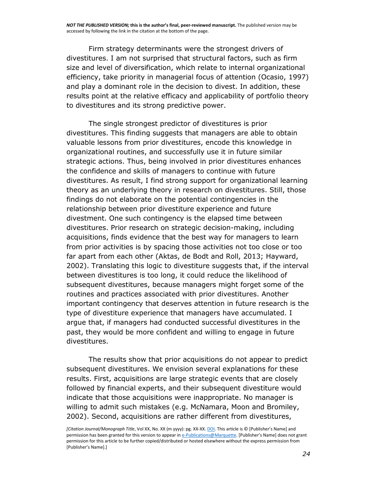Firm strategy determinants were the strongest drivers of divestitures. I am not surprised that structural factors, such as firm size and level of diversification, which relate to internal organizational efficiency, take priority in managerial focus of attention (Ocasio, [1997\)](http://onlinelibrary.wiley.com/doi/10.1111/1467-8551.12145/full#bjom12145-bib-0078) and play a dominant role in the decision to divest. In addition, these results point at the relative efficacy and applicability of portfolio theory to divestitures and its strong predictive power.

The single strongest predictor of divestitures is prior divestitures. This finding suggests that managers are able to obtain valuable lessons from prior divestitures, encode this knowledge in organizational routines, and successfully use it in future similar strategic actions. Thus, being involved in prior divestitures enhances the confidence and skills of managers to continue with future divestitures. As result, I find strong support for organizational learning theory as an underlying theory in research on divestitures. Still, those findings do not elaborate on the potential contingencies in the relationship between prior divestiture experience and future divestment. One such contingency is the elapsed time between divestitures. Prior research on strategic decision-making, including acquisitions, finds evidence that the best way for managers to learn from prior activities is by spacing those activities not too close or too far apart from each other (Aktas, de Bodt and Roll, [2013;](http://onlinelibrary.wiley.com/doi/10.1111/1467-8551.12145/full#bjom12145-bib-0002) Hayward, [2002\)](http://onlinelibrary.wiley.com/doi/10.1111/1467-8551.12145/full#bjom12145-bib-0047). Translating this logic to divestiture suggests that, if the interval between divestitures is too long, it could reduce the likelihood of subsequent divestitures, because managers might forget some of the routines and practices associated with prior divestitures. Another important contingency that deserves attention in future research is the type of divestiture experience that managers have accumulated. I argue that, if managers had conducted successful divestitures in the past, they would be more confident and willing to engage in future divestitures.

The results show that prior acquisitions do not appear to predict subsequent divestitures. We envision several explanations for these results. First, acquisitions are large strategic events that are closely followed by financial experts, and their subsequent divestiture would indicate that those acquisitions were inappropriate. No manager is willing to admit such mistakes (e.g. McNamara, Moon and Bromiley, [2002\)](http://onlinelibrary.wiley.com/doi/10.1111/1467-8551.12145/full#bjom12145-bib-0071). Second, acquisitions are rather different from divestitures,

*<sup>[</sup>Citation Journal/Monograph Title*, Vol XX, No. XX (m yyyy): pg. XX-XX[. DOI.](file:///C:/Users/olsons/Desktop/Desktop/author%20versions/dx.doi.org/10.1016/j.acalib.2009.06.017) This article is © [Publisher's Name] and permission has been granted for this version to appear i[n e-Publications@Marquette.](http://epublications.marquette.edu/) [Publisher's Name] does not grant permission for this article to be further copied/distributed or hosted elsewhere without the express permission from [Publisher's Name].]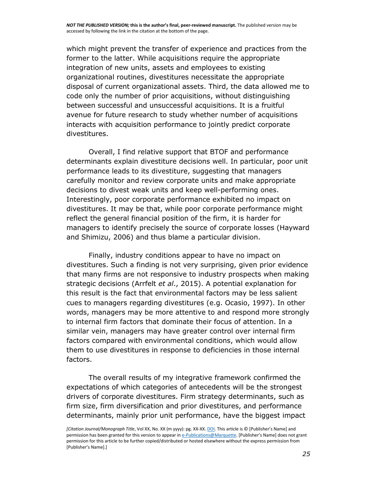which might prevent the transfer of experience and practices from the former to the latter. While acquisitions require the appropriate integration of new units, assets and employees to existing organizational routines, divestitures necessitate the appropriate disposal of current organizational assets. Third, the data allowed me to code only the number of prior acquisitions, without distinguishing between successful and unsuccessful acquisitions. It is a fruitful avenue for future research to study whether number of acquisitions interacts with acquisition performance to jointly predict corporate divestitures.

Overall, I find relative support that BTOF and performance determinants explain divestiture decisions well. In particular, poor unit performance leads to its divestiture, suggesting that managers carefully monitor and review corporate units and make appropriate decisions to divest weak units and keep well-performing ones. Interestingly, poor corporate performance exhibited no impact on divestitures. It may be that, while poor corporate performance might reflect the general financial position of the firm, it is harder for managers to identify precisely the source of corporate losses (Hayward and Shimizu, [2006\)](http://onlinelibrary.wiley.com/doi/10.1111/1467-8551.12145/full#bjom12145-bib-0048) and thus blame a particular division.

Finally, industry conditions appear to have no impact on divestitures. Such a finding is not very surprising, given prior evidence that many firms are not responsive to industry prospects when making strategic decisions (Arrfelt *et al*., 2015). A potential explanation for this result is the fact that environmental factors may be less salient cues to managers regarding divestitures (e.g. Ocasio, [1997\)](http://onlinelibrary.wiley.com/doi/10.1111/1467-8551.12145/full#bjom12145-bib-0078). In other words, managers may be more attentive to and respond more strongly to internal firm factors that dominate their focus of attention. In a similar vein, managers may have greater control over internal firm factors compared with environmental conditions, which would allow them to use divestitures in response to deficiencies in those internal factors.

The overall results of my integrative framework confirmed the expectations of which categories of antecedents will be the strongest drivers of corporate divestitures. Firm strategy determinants, such as firm size, firm diversification and prior divestitures, and performance determinants, mainly prior unit performance, have the biggest impact

*<sup>[</sup>Citation Journal/Monograph Title*, Vol XX, No. XX (m yyyy): pg. XX-XX[. DOI.](file:///C:/Users/olsons/Desktop/Desktop/author%20versions/dx.doi.org/10.1016/j.acalib.2009.06.017) This article is © [Publisher's Name] and permission has been granted for this version to appear i[n e-Publications@Marquette.](http://epublications.marquette.edu/) [Publisher's Name] does not grant permission for this article to be further copied/distributed or hosted elsewhere without the express permission from [Publisher's Name].]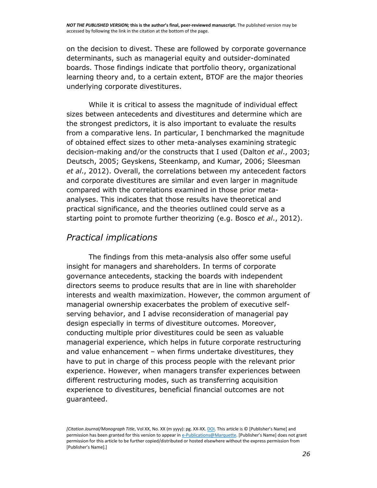on the decision to divest. These are followed by corporate governance determinants, such as managerial equity and outsider-dominated boards. Those findings indicate that portfolio theory, organizational learning theory and, to a certain extent, BTOF are the major theories underlying corporate divestitures.

While it is critical to assess the magnitude of individual effect sizes between antecedents and divestitures and determine which are the strongest predictors, it is also important to evaluate the results from a comparative lens. In particular, I benchmarked the magnitude of obtained effect sizes to other meta-analyses examining strategic decision-making and/or the constructs that I used (Dalton *et al*., [2003;](http://onlinelibrary.wiley.com/doi/10.1111/1467-8551.12145/full#bjom12145-bib-0023) Deutsch, [2005;](http://onlinelibrary.wiley.com/doi/10.1111/1467-8551.12145/full#bjom12145-bib-0028) Geyskens, Steenkamp, and Kumar, [2006;](http://onlinelibrary.wiley.com/doi/10.1111/1467-8551.12145/full#bjom12145-bib-0037) Sleesman *et al*., [2012\)](http://onlinelibrary.wiley.com/doi/10.1111/1467-8551.12145/full#bjom12145-bib-0090). Overall, the correlations between my antecedent factors and corporate divestitures are similar and even larger in magnitude compared with the correlations examined in those prior metaanalyses. This indicates that those results have theoretical and practical significance, and the theories outlined could serve as a starting point to promote further theorizing (e.g. Bosco *et al*., 2012).

#### *Practical implications*

The findings from this meta-analysis also offer some useful insight for managers and shareholders. In terms of corporate governance antecedents, stacking the boards with independent directors seems to produce results that are in line with shareholder interests and wealth maximization. However, the common argument of managerial ownership exacerbates the problem of executive selfserving behavior, and I advise reconsideration of managerial pay design especially in terms of divestiture outcomes. Moreover, conducting multiple prior divestitures could be seen as valuable managerial experience, which helps in future corporate restructuring and value enhancement – when firms undertake divestitures, they have to put in charge of this process people with the relevant prior experience. However, when managers transfer experiences between different restructuring modes, such as transferring acquisition experience to divestitures, beneficial financial outcomes are not guaranteed.

*<sup>[</sup>Citation Journal/Monograph Title*, Vol XX, No. XX (m yyyy): pg. XX-XX[. DOI.](file:///C:/Users/olsons/Desktop/Desktop/author%20versions/dx.doi.org/10.1016/j.acalib.2009.06.017) This article is © [Publisher's Name] and permission has been granted for this version to appear i[n e-Publications@Marquette.](http://epublications.marquette.edu/) [Publisher's Name] does not grant permission for this article to be further copied/distributed or hosted elsewhere without the express permission from [Publisher's Name].]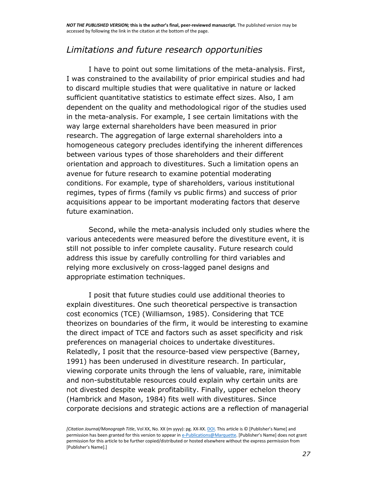### *Limitations and future research opportunities*

I have to point out some limitations of the meta-analysis. First, I was constrained to the availability of prior empirical studies and had to discard multiple studies that were qualitative in nature or lacked sufficient quantitative statistics to estimate effect sizes. Also, I am dependent on the quality and methodological rigor of the studies used in the meta-analysis. For example, I see certain limitations with the way large external shareholders have been measured in prior research. The aggregation of large external shareholders into a homogeneous category precludes identifying the inherent differences between various types of those shareholders and their different orientation and approach to divestitures. Such a limitation opens an avenue for future research to examine potential moderating conditions. For example, type of shareholders, various institutional regimes, types of firms (family vs public firms) and success of prior acquisitions appear to be important moderating factors that deserve future examination.

Second, while the meta-analysis included only studies where the various antecedents were measured before the divestiture event, it is still not possible to infer complete causality. Future research could address this issue by carefully controlling for third variables and relying more exclusively on cross-lagged panel designs and appropriate estimation techniques.

I posit that future studies could use additional theories to explain divestitures. One such theoretical perspective is transaction cost economics (TCE) (Williamson, [1985\)](http://onlinelibrary.wiley.com/doi/10.1111/1467-8551.12145/full#bjom12145-bib-0095). Considering that TCE theorizes on boundaries of the firm, it would be interesting to examine the direct impact of TCE and factors such as asset specificity and risk preferences on managerial choices to undertake divestitures. Relatedly, I posit that the resource-based view perspective (Barney, [1991\)](http://onlinelibrary.wiley.com/doi/10.1111/1467-8551.12145/full#bjom12145-bib-0006) has been underused in divestiture research. In particular, viewing corporate units through the lens of valuable, rare, inimitable and non-substitutable resources could explain why certain units are not divested despite weak profitability. Finally, upper echelon theory (Hambrick and Mason, [1984\)](http://onlinelibrary.wiley.com/doi/10.1111/1467-8551.12145/full#bjom12145-bib-0045) fits well with divestitures. Since corporate decisions and strategic actions are a reflection of managerial

*<sup>[</sup>Citation Journal/Monograph Title*, Vol XX, No. XX (m yyyy): pg. XX-XX[. DOI.](file:///C:/Users/olsons/Desktop/Desktop/author%20versions/dx.doi.org/10.1016/j.acalib.2009.06.017) This article is © [Publisher's Name] and permission has been granted for this version to appear i[n e-Publications@Marquette.](http://epublications.marquette.edu/) [Publisher's Name] does not grant permission for this article to be further copied/distributed or hosted elsewhere without the express permission from [Publisher's Name].]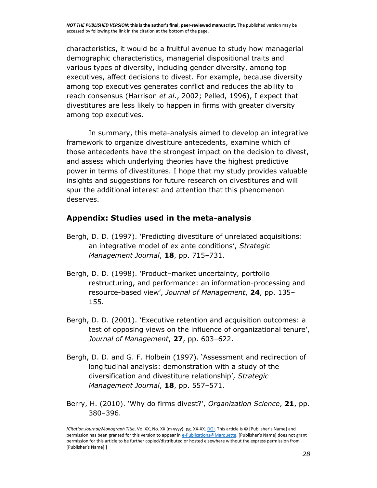characteristics, it would be a fruitful avenue to study how managerial demographic characteristics, managerial dispositional traits and various types of diversity, including gender diversity, among top executives, affect decisions to divest. For example, because diversity among top executives generates conflict and reduces the ability to reach consensus (Harrison *et al*., [2002;](http://onlinelibrary.wiley.com/doi/10.1111/1467-8551.12145/full#bjom12145-bib-0046) Pelled, [1996\)](http://onlinelibrary.wiley.com/doi/10.1111/1467-8551.12145/full#bjom12145-bib-0081), I expect that divestitures are less likely to happen in firms with greater diversity among top executives.

In summary, this meta-analysis aimed to develop an integrative framework to organize divestiture antecedents, examine which of those antecedents have the strongest impact on the decision to divest, and assess which underlying theories have the highest predictive power in terms of divestitures. I hope that my study provides valuable insights and suggestions for future research on divestitures and will spur the additional interest and attention that this phenomenon deserves.

#### **Appendix: Studies used in the meta-analysis**

- Bergh, D. D. (1997). 'Predicting divestiture of unrelated acquisitions: an integrative model of ex ante conditions', *Strategic Management Journal*, **18**, pp. 715–731.
- Bergh, D. D. (1998). 'Product–market uncertainty, portfolio restructuring, and performance: an information-processing and resource-based view', *Journal of Management*, **24**, pp. 135– 155.
- Bergh, D. D. (2001). 'Executive retention and acquisition outcomes: a test of opposing views on the influence of organizational tenure', *Journal of Management*, **27**, pp. 603–622.
- Bergh, D. D. and G. F. Holbein (1997). 'Assessment and redirection of longitudinal analysis: demonstration with a study of the diversification and divestiture relationship', *Strategic Management Journal*, **18**, pp. 557–571.
- Berry, H. (2010). 'Why do firms divest?', *Organization Science*, **21**, pp. 380–396.

*<sup>[</sup>Citation Journal/Monograph Title*, Vol XX, No. XX (m yyyy): pg. XX-XX[. DOI.](file:///C:/Users/olsons/Desktop/Desktop/author%20versions/dx.doi.org/10.1016/j.acalib.2009.06.017) This article is © [Publisher's Name] and permission has been granted for this version to appear i[n e-Publications@Marquette.](http://epublications.marquette.edu/) [Publisher's Name] does not grant permission for this article to be further copied/distributed or hosted elsewhere without the express permission from [Publisher's Name].]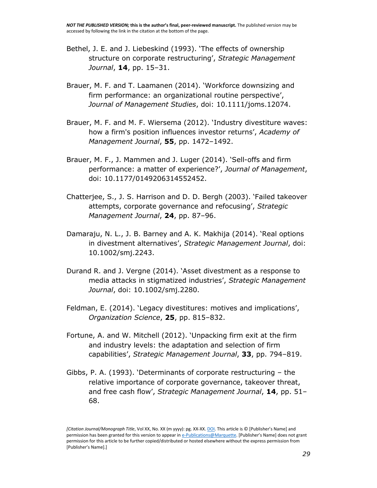- Bethel, J. E. and J. Liebeskind (1993). 'The effects of ownership structure on corporate restructuring', *Strategic Management Journal*, **14**, pp. 15–31.
- Brauer, M. F. and T. Laamanen (2014). 'Workforce downsizing and firm performance: an organizational routine perspective', *Journal of Management Studies*, doi: 10.1111/joms.12074.
- Brauer, M. F. and M. F. Wiersema (2012). 'Industry divestiture waves: how a firm's position influences investor returns', *Academy of Management Journal*, **55**, pp. 1472–1492.
- Brauer, M. F., J. Mammen and J. Luger (2014). 'Sell-offs and firm performance: a matter of experience?', *Journal of Management*, doi: 10.1177/0149206314552452.
- Chatterjee, S., J. S. Harrison and D. D. Bergh (2003). 'Failed takeover attempts, corporate governance and refocusing', *Strategic Management Journal*, **24**, pp. 87–96.
- Damaraju, N. L., J. B. Barney and A. K. Makhija (2014). 'Real options in divestment alternatives', *Strategic Management Journal*, doi: 10.1002/smj.2243.
- Durand R. and J. Vergne (2014). 'Asset divestment as a response to media attacks in stigmatized industries', *Strategic Management Journal*, doi: 10.1002/smj.2280.
- Feldman, E. (2014). 'Legacy divestitures: motives and implications', *Organization Science*, **25**, pp. 815–832.
- Fortune, A. and W. Mitchell (2012). 'Unpacking firm exit at the firm and industry levels: the adaptation and selection of firm capabilities', *Strategic Management Journal*, **33**, pp. 794–819.
- Gibbs, P. A. (1993). 'Determinants of corporate restructuring the relative importance of corporate governance, takeover threat, and free cash flow', *Strategic Management Journal*, **14**, pp. 51– 68.

*<sup>[</sup>Citation Journal/Monograph Title*, Vol XX, No. XX (m yyyy): pg. XX-XX[. DOI.](file:///C:/Users/olsons/Desktop/Desktop/author%20versions/dx.doi.org/10.1016/j.acalib.2009.06.017) This article is © [Publisher's Name] and permission has been granted for this version to appear i[n e-Publications@Marquette.](http://epublications.marquette.edu/) [Publisher's Name] does not grant permission for this article to be further copied/distributed or hosted elsewhere without the express permission from [Publisher's Name].]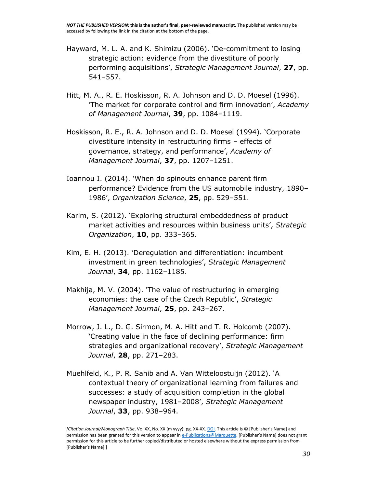- Hayward, M. L. A. and K. Shimizu (2006). 'De-commitment to losing strategic action: evidence from the divestiture of poorly performing acquisitions', *Strategic Management Journal*, **27**, pp. 541–557.
- Hitt, M. A., R. E. Hoskisson, R. A. Johnson and D. D. Moesel (1996). 'The market for corporate control and firm innovation', *Academy of Management Journal*, **39**, pp. 1084–1119.
- Hoskisson, R. E., R. A. Johnson and D. D. Moesel (1994). 'Corporate divestiture intensity in restructuring firms – effects of governance, strategy, and performance', *Academy of Management Journal*, **37**, pp. 1207–1251.
- Ioannou I. (2014). 'When do spinouts enhance parent firm performance? Evidence from the US automobile industry, 1890– 1986', *Organization Science*, **25**, pp. 529–551.
- Karim, S. (2012). 'Exploring structural embeddedness of product market activities and resources within business units', *Strategic Organization*, **10**, pp. 333–365.
- Kim, E. H. (2013). 'Deregulation and differentiation: incumbent investment in green technologies', *Strategic Management Journal*, **34**, pp. 1162–1185.
- Makhija, M. V. (2004). 'The value of restructuring in emerging economies: the case of the Czech Republic', *Strategic Management Journal*, **25**, pp. 243–267.
- Morrow, J. L., D. G. Sirmon, M. A. Hitt and T. R. Holcomb (2007). 'Creating value in the face of declining performance: firm strategies and organizational recovery', *Strategic Management Journal*, **28**, pp. 271–283.
- Muehlfeld, K., P. R. Sahib and A. Van Witteloostuijn (2012). 'A contextual theory of organizational learning from failures and successes: a study of acquisition completion in the global newspaper industry, 1981–2008', *Strategic Management Journal*, **33**, pp. 938–964.

*<sup>[</sup>Citation Journal/Monograph Title*, Vol XX, No. XX (m yyyy): pg. XX-XX[. DOI.](file:///C:/Users/olsons/Desktop/Desktop/author%20versions/dx.doi.org/10.1016/j.acalib.2009.06.017) This article is © [Publisher's Name] and permission has been granted for this version to appear i[n e-Publications@Marquette.](http://epublications.marquette.edu/) [Publisher's Name] does not grant permission for this article to be further copied/distributed or hosted elsewhere without the express permission from [Publisher's Name].]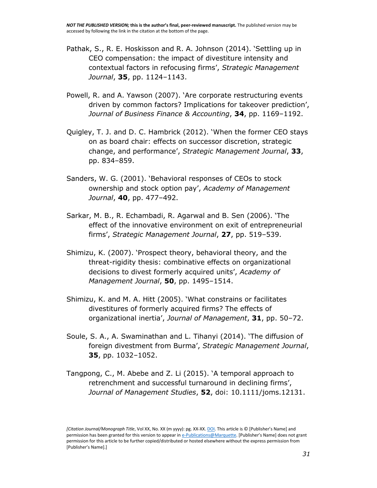- Pathak, S., R. E. Hoskisson and R. A. Johnson (2014). 'Settling up in CEO compensation: the impact of divestiture intensity and contextual factors in refocusing firms', *Strategic Management Journal*, **35**, pp. 1124–1143.
- Powell, R. and A. Yawson (2007). 'Are corporate restructuring events driven by common factors? Implications for takeover prediction', *Journal of Business Finance & Accounting*, **34**, pp. 1169–1192.
- Quigley, T. J. and D. C. Hambrick (2012). 'When the former CEO stays on as board chair: effects on successor discretion, strategic change, and performance', *Strategic Management Journal*, **33**, pp. 834–859.
- Sanders, W. G. (2001). 'Behavioral responses of CEOs to stock ownership and stock option pay', *Academy of Management Journal*, **40**, pp. 477–492.
- Sarkar, M. B., R. Echambadi, R. Agarwal and B. Sen (2006). 'The effect of the innovative environment on exit of entrepreneurial firms', *Strategic Management Journal*, **27**, pp. 519–539.
- Shimizu, K. (2007). 'Prospect theory, behavioral theory, and the threat-rigidity thesis: combinative effects on organizational decisions to divest formerly acquired units', *Academy of Management Journal*, **50**, pp. 1495–1514.
- Shimizu, K. and M. A. Hitt (2005). 'What constrains or facilitates divestitures of formerly acquired firms? The effects of organizational inertia', *Journal of Management*, **31**, pp. 50–72.
- Soule, S. A., A. Swaminathan and L. Tihanyi (2014). 'The diffusion of foreign divestment from Burma', *Strategic Management Journal*, **35**, pp. 1032–1052.
- Tangpong, C., M. Abebe and Z. Li (2015). 'A temporal approach to retrenchment and successful turnaround in declining firms', *Journal of Management Studies*, **52**, doi: 10.1111/joms.12131.

*<sup>[</sup>Citation Journal/Monograph Title*, Vol XX, No. XX (m yyyy): pg. XX-XX[. DOI.](file:///C:/Users/olsons/Desktop/Desktop/author%20versions/dx.doi.org/10.1016/j.acalib.2009.06.017) This article is © [Publisher's Name] and permission has been granted for this version to appear i[n e-Publications@Marquette.](http://epublications.marquette.edu/) [Publisher's Name] does not grant permission for this article to be further copied/distributed or hosted elsewhere without the express permission from [Publisher's Name].]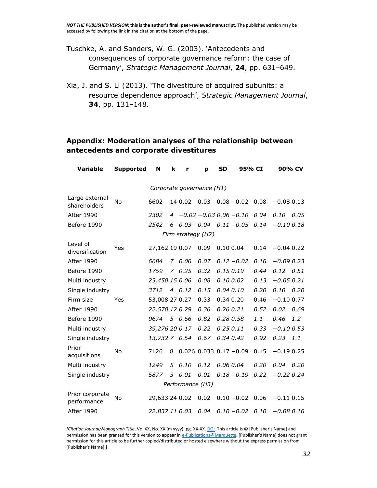- Tuschke, A. and Sanders, W. G. (2003). 'Antecedents and consequences of corporate governance reform: the case of Germany', *Strategic Management Journal*, **24**, pp. 631–649.
- Xia, J. and S. Li (2013). 'The divestiture of acquired subunits: a resource dependence approach', *Strategic Management Journal*, **34**, pp. 131–148.

#### **Appendix: Moderation analyses of the relationship between antecedents and corporate divestitures**

| <b>Variable</b>                | <b>Supported</b> | N                         | k | r                            | ρ                          | <b>SD</b> | 95% CI        |      |               | 90% CV |
|--------------------------------|------------------|---------------------------|---|------------------------------|----------------------------|-----------|---------------|------|---------------|--------|
|                                |                  | Corporate governance (H1) |   |                              |                            |           |               |      |               |        |
| Large external<br>shareholders | <b>No</b>        | 6602                      |   | 14 0.02                      | 0.03                       |           | $0.08 - 0.02$ | 0.08 | $-0.080.13$   |        |
| After 1990                     |                  | 2302                      |   | $4 -0.02 -0.03$ $0.06 -0.10$ |                            |           |               | 0.04 | 0.10          | 0.05   |
| Before 1990                    |                  | 2542                      | 6 | $0.03$ $0.04$ $0.11 - 0.05$  |                            |           |               | 0.14 | $-0.100.18$   |        |
|                                |                  |                           |   | Firm strategy (H2)           |                            |           |               |      |               |        |
| Level of<br>diversification    | Yes              | 27,162 19 0.07            |   |                              | 0.09                       | 0.10 0.04 |               | 0.14 | $-0.04$ 0.22  |        |
| After 1990                     |                  | 6684                      | 7 | 0.06                         | 0.07                       |           | $0.12 - 0.02$ | 0.16 | $-0.090.23$   |        |
| Before 1990                    |                  | 1759                      |   | 70.25                        | 0.32                       | 0.150.19  |               | 0.44 | $0.12$ $0.51$ |        |
| Multi industry                 |                  | 23,450 15 0.06            |   |                              | 0.08                       | 0.10 0.02 |               | 0.13 | $-0.050.21$   |        |
| Single industry                |                  | 3712                      |   | 40.12                        | 0.15                       | 0.04 0.10 |               | 0.20 | $0.10$ $0.20$ |        |
| Firm size                      | Yes              | 53,008 27 0.27            |   |                              | 0.33                       | 0.34 0.20 |               | 0.46 | $-0.10$ 0.77  |        |
| After 1990                     |                  | 22,570 12 0.29            |   |                              | 0.36                       | 0.26 0.21 |               | 0.52 | 0.02          | 0.69   |
| Before 1990                    |                  | 9674                      |   | 5 0.66                       | 0.82                       | 0.280.58  |               | 1.1  | 0.46          | 1.2    |
| Multi industry                 |                  | 39,276 20 0.17            |   |                              | 0.22                       | 0.250.11  |               | 0.33 | $-0.10$ 0.53  |        |
| Single industry                |                  | 13,732 7 0.54             |   |                              | 0.67                       | 0.34 0.42 |               | 0.92 | 0.23          | 1.1    |
| Prior<br>acquisitions          | <b>No</b>        | 7126                      | 8 |                              | $0.026$ 0.033 0.17 $-0.09$ |           |               | 0.15 | $-0.190.25$   |        |
| Multi industry                 |                  | 1249                      | 5 | 0.10                         | 0.12                       | 0.06 0.04 |               | 0.20 | 0.04          | 0.20   |
| Single industry                |                  | 5877                      | 3 | 0.01                         | 0.01                       |           | $0.18 - 0.19$ | 0.22 | $-0.22 0.24$  |        |
|                                |                  |                           |   | Performance (H3)             |                            |           |               |      |               |        |
| Prior corporate<br>performance | <b>No</b>        | 29,633 24 0.02            |   |                              | 0.02                       |           | $0.10 - 0.02$ | 0.06 | $-0.11$ 0.15  |        |
| <b>After 1990</b>              |                  | 22,837 11 0.03            |   |                              | 0.04                       |           | $0.10 - 0.02$ | 0.10 | $-0.08 0.16$  |        |

*[Citation Journal/Monograph Title*, Vol XX, No. XX (m yyyy): pg. XX-XX[. DOI.](file:///C:/Users/olsons/Desktop/Desktop/author%20versions/dx.doi.org/10.1016/j.acalib.2009.06.017) This article is © [Publisher's Name] and permission has been granted for this version to appear i[n e-Publications@Marquette.](http://epublications.marquette.edu/) [Publisher's Name] does not grant permission for this article to be further copied/distributed or hosted elsewhere without the express permission from [Publisher's Name].]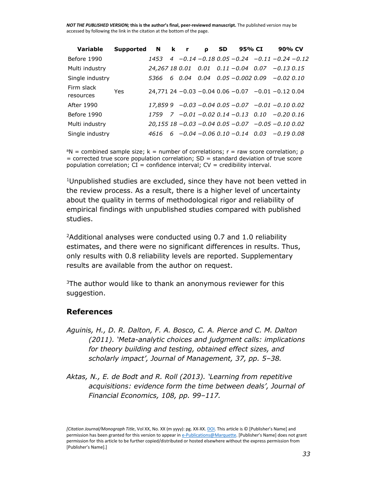| <b>Variable</b>         | Supported | $\blacksquare$ | k r   | ρ | <b>SD</b> | 95% CI | 90% CV                                                        |  |
|-------------------------|-----------|----------------|-------|---|-----------|--------|---------------------------------------------------------------|--|
| Before 1990             |           | 1453           |       |   |           |        | $-0.14 - 0.18$ $0.05 - 0.24$ $-0.11 - 0.24 - 0.12$            |  |
| Multi industry          |           |                |       |   |           |        | 24,267 18 0.01  0.01  0.11 $-0.04$ 0.07 $-0.13$ 0.15          |  |
| Single industry         |           | 5366           | 60.04 |   |           |        | $0.04$ $0.05 - 0.002$ $0.09$ $-0.02$ $0.10$                   |  |
| Firm slack<br>resources | Yes       |                |       |   |           |        | $24,771$ 24 $-0.03$ $-0.04$ 0.06 $-0.07$ $-0.01$ $-0.12$ 0.04 |  |
| After 1990              |           |                |       |   |           |        | $17,859$ 9 $-0.03$ $-0.04$ 0.05 $-0.07$ $-0.01$ $-0.10$ 0.02  |  |
| Before 1990             |           | 1759           |       |   |           |        | 7 -0.01 -0.02 0.14 -0.13 0.10 -0.20 0.16                      |  |
| Multi industry          |           |                |       |   |           |        | $20,155$ 18 $-0.03$ $-0.04$ 0.05 $-0.07$ $-0.05$ $-0.10$ 0.02 |  |
| Single industry         |           | 4616           |       |   |           |        | $6 - 0.04 - 0.06$ $0.10 - 0.14$ $0.03 - 0.19$ $0.08$          |  |

<sup>a</sup>N = combined sample size; k = number of correlations; r = raw score correlation; ρ  $=$  corrected true score population correlation; SD  $=$  standard deviation of true score population correlation;  $CI = confidence$  interval;  $CV = credibility$  interval.

<sup>1</sup>Unpublished studies are excluded, since they have not been vetted in the review process. As a result, there is a higher level of uncertainty about the quality in terms of methodological rigor and reliability of empirical findings with unpublished studies compared with published studies.

<sup>2</sup>Additional analyses were conducted using 0.7 and 1.0 reliability estimates, and there were no significant differences in results. Thus, only results with 0.8 reliability levels are reported. Supplementary results are available from the author on request.

<sup>3</sup>The author would like to thank an anonymous reviewer for this suggestion.

#### **References**

- *Aguinis, H., D. R. Dalton, F. A. Bosco, C. A. Pierce and C. M. Dalton (2011). 'Meta-analytic choices and judgment calls: implications for theory building and testing, obtained effect sizes, and scholarly impact', Journal of Management, 37, pp. 5–38.*
- *Aktas, N., E. de Bodt and R. Roll (2013). 'Learning from repetitive acquisitions: evidence form the time between deals', Journal of Financial Economics, 108, pp. 99–117.*

*<sup>[</sup>Citation Journal/Monograph Title*, Vol XX, No. XX (m yyyy): pg. XX-XX[. DOI.](file:///C:/Users/olsons/Desktop/Desktop/author%20versions/dx.doi.org/10.1016/j.acalib.2009.06.017) This article is © [Publisher's Name] and permission has been granted for this version to appear i[n e-Publications@Marquette.](http://epublications.marquette.edu/) [Publisher's Name] does not grant permission for this article to be further copied/distributed or hosted elsewhere without the express permission from [Publisher's Name].]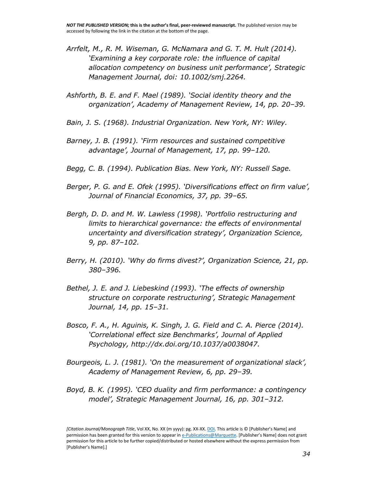- *Arrfelt, M., R. M. Wiseman, G. McNamara and G. T. M. Hult (2014). 'Examining a key corporate role: the influence of capital allocation competency on business unit performance', Strategic Management Journal, doi: [10.1002/smj.2264.](http://dx.doi.org/10.1002/smj.2264)*
- *Ashforth, B. E. and F. Mael (1989). 'Social identity theory and the organization', Academy of Management Review, 14, pp. 20–39.*
- *Bain, J. S. (1968). Industrial Organization. New York, NY: Wiley.*
- *Barney, J. B. (1991). 'Firm resources and sustained competitive advantage', Journal of Management, 17, pp. 99–120.*
- *Begg, C. B. (1994). Publication Bias. New York, NY: Russell Sage.*
- *Berger, P. G. and E. Ofek (1995). 'Diversifications effect on firm value', Journal of Financial Economics, 37, pp. 39–65.*
- *Bergh, D. D. and M. W. Lawless (1998). 'Portfolio restructuring and limits to hierarchical governance: the effects of environmental uncertainty and diversification strategy', Organization Science, 9, pp. 87–102.*
- *Berry, H. (2010). 'Why do firms divest?', Organization Science, 21, pp. 380–396.*
- *Bethel, J. E. and J. Liebeskind (1993). 'The effects of ownership structure on corporate restructuring', Strategic Management Journal, 14, pp. 15–31.*
- *Bosco, F. A., H. Aguinis, K. Singh, J. G. Field and C. A. Pierce (2014). 'Correlational effect size Benchmarks', Journal of Applied Psychology, [http://dx.doi.org/10.1037/a0038047.](http://dx.doi.org/10.1037/a0038047)*
- *Bourgeois, L. J. (1981). 'On the measurement of organizational slack', Academy of Management Review, 6, pp. 29–39.*
- *Boyd, B. K. (1995). 'CEO duality and firm performance: a contingency model', Strategic Management Journal, 16, pp. 301–312.*

*<sup>[</sup>Citation Journal/Monograph Title*, Vol XX, No. XX (m yyyy): pg. XX-XX[. DOI.](file:///C:/Users/olsons/Desktop/Desktop/author%20versions/dx.doi.org/10.1016/j.acalib.2009.06.017) This article is © [Publisher's Name] and permission has been granted for this version to appear i[n e-Publications@Marquette.](http://epublications.marquette.edu/) [Publisher's Name] does not grant permission for this article to be further copied/distributed or hosted elsewhere without the express permission from [Publisher's Name].]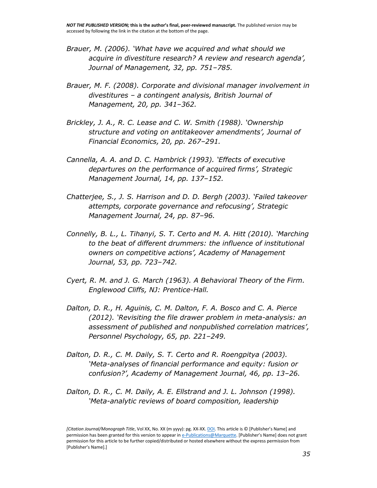- *Brauer, M. (2006). 'What have we acquired and what should we acquire in divestiture research? A review and research agenda', Journal of Management, 32, pp. 751–785.*
- *Brauer, M. F. (2008). Corporate and divisional manager involvement in divestitures – a contingent analysis, British Journal of Management, 20, pp. 341–362.*
- *Brickley, J. A., R. C. Lease and C. W. Smith (1988). 'Ownership structure and voting on antitakeover amendments', Journal of Financial Economics, 20, pp. 267–291.*
- *Cannella, A. A. and D. C. Hambrick (1993). 'Effects of executive departures on the performance of acquired firms', Strategic Management Journal, 14, pp. 137–152.*
- *Chatterjee, S., J. S. Harrison and D. D. Bergh (2003). 'Failed takeover attempts, corporate governance and refocusing', Strategic Management Journal, 24, pp. 87–96.*
- *Connelly, B. L., L. Tihanyi, S. T. Certo and M. A. Hitt (2010). 'Marching to the beat of different drummers: the influence of institutional owners on competitive actions', Academy of Management Journal, 53, pp. 723–742.*
- *Cyert, R. M. and J. G. March (1963). A Behavioral Theory of the Firm. Englewood Cliffs, NJ: Prentice-Hall.*
- *Dalton, D. R., H. Aguinis, C. M. Dalton, F. A. Bosco and C. A. Pierce (2012). 'Revisiting the file drawer problem in meta-analysis: an assessment of published and nonpublished correlation matrices', Personnel Psychology, 65, pp. 221–249.*
- *Dalton, D. R., C. M. Daily, S. T. Certo and R. Roengpitya (2003). 'Meta-analyses of financial performance and equity: fusion or confusion?', Academy of Management Journal, 46, pp. 13–26.*
- *Dalton, D. R., C. M. Daily, A. E. Ellstrand and J. L. Johnson (1998). 'Meta-analytic reviews of board composition, leadership*

*<sup>[</sup>Citation Journal/Monograph Title*, Vol XX, No. XX (m yyyy): pg. XX-XX[. DOI.](file:///C:/Users/olsons/Desktop/Desktop/author%20versions/dx.doi.org/10.1016/j.acalib.2009.06.017) This article is © [Publisher's Name] and permission has been granted for this version to appear i[n e-Publications@Marquette.](http://epublications.marquette.edu/) [Publisher's Name] does not grant permission for this article to be further copied/distributed or hosted elsewhere without the express permission from [Publisher's Name].]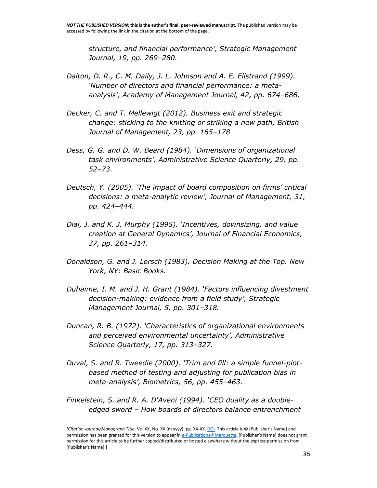*structure, and financial performance', Strategic Management Journal, 19, pp. 269–280.*

- *Dalton, D. R., C. M. Daily, J. L. Johnson and A. E. Ellstrand (1999). 'Number of directors and financial performance: a metaanalysis', Academy of Management Journal, 42, pp. 674–686.*
- *Decker, C. and T. Mellewigt (2012). Business exit and strategic change: sticking to the knitting or striking a new path, British Journal of Management, 23, pp. 165–178*
- *Dess, G. G. and D. W. Beard (1984). 'Dimensions of organizational task environments', Administrative Science Quarterly, 29, pp. 52–73.*
- *Deutsch, Y. (2005). 'The impact of board composition on firms' critical decisions: a meta-analytic review', Journal of Management, 31, pp. 424–444.*
- *Dial, J. and K. J. Murphy (1995). 'Incentives, downsizing, and value creation at General Dynamics', Journal of Financial Economics, 37, pp. 261–314.*
- *Donaldson, G. and J. Lorsch (1983). Decision Making at the Top. New York, NY: Basic Books.*
- *Duhaime, I. M. and J. H. Grant (1984). 'Factors influencing divestment decision-making: evidence from a field study', Strategic Management Journal, 5, pp. 301–318.*
- *Duncan, R. B. (1972). 'Characteristics of organizational environments and perceived environmental uncertainty', Administrative Science Quarterly, 17, pp. 313–327.*
- *Duval, S. and R. Tweedie (2000). 'Trim and fill: a simple funnel-plotbased method of testing and adjusting for publication bias in meta-analysis', Biometrics, 56, pp. 455–463.*
- *Finkelstein, S. and R. A. D'Aveni (1994). 'CEO duality as a doubleedged sword – How boards of directors balance entrenchment*

*<sup>[</sup>Citation Journal/Monograph Title*, Vol XX, No. XX (m yyyy): pg. XX-XX[. DOI.](file:///C:/Users/olsons/Desktop/Desktop/author%20versions/dx.doi.org/10.1016/j.acalib.2009.06.017) This article is © [Publisher's Name] and permission has been granted for this version to appear i[n e-Publications@Marquette.](http://epublications.marquette.edu/) [Publisher's Name] does not grant permission for this article to be further copied/distributed or hosted elsewhere without the express permission from [Publisher's Name].]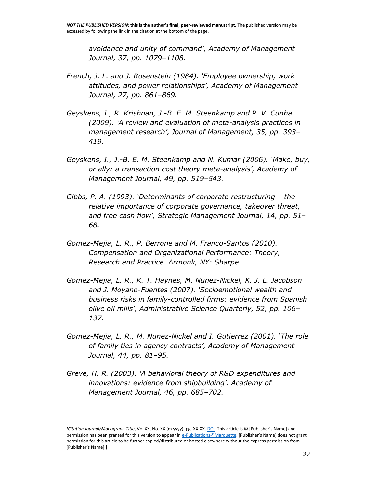*avoidance and unity of command', Academy of Management Journal, 37, pp. 1079–1108.*

- *French, J. L. and J. Rosenstein (1984). 'Employee ownership, work attitudes, and power relationships', Academy of Management Journal, 27, pp. 861–869.*
- *Geyskens, I., R. Krishnan, J.-B. E. M. Steenkamp and P. V. Cunha (2009). 'A review and evaluation of meta-analysis practices in management research', Journal of Management, 35, pp. 393– 419.*
- *Geyskens, I., J.-B. E. M. Steenkamp and N. Kumar (2006). 'Make, buy, or ally: a transaction cost theory meta-analysis', Academy of Management Journal, 49, pp. 519–543.*
- *Gibbs, P. A. (1993). 'Determinants of corporate restructuring – the relative importance of corporate governance, takeover threat, and free cash flow', Strategic Management Journal, 14, pp. 51– 68.*
- *Gomez-Mejia, L. R., P. Berrone and M. Franco-Santos (2010). Compensation and Organizational Performance: Theory, Research and Practice. Armonk, NY: Sharpe.*
- *Gomez-Mejia, L. R., K. T. Haynes, M. Nunez-Nickel, K. J. L. Jacobson and J. Moyano-Fuentes (2007). 'Socioemotional wealth and business risks in family-controlled firms: evidence from Spanish olive oil mills', Administrative Science Quarterly, 52, pp. 106– 137.*
- *Gomez-Mejia, L. R., M. Nunez-Nickel and I. Gutierrez (2001). 'The role of family ties in agency contracts', Academy of Management Journal, 44, pp. 81–95.*
- *Greve, H. R. (2003). 'A behavioral theory of R&D expenditures and innovations: evidence from shipbuilding', Academy of Management Journal, 46, pp. 685–702.*

*<sup>[</sup>Citation Journal/Monograph Title*, Vol XX, No. XX (m yyyy): pg. XX-XX[. DOI.](file:///C:/Users/olsons/Desktop/Desktop/author%20versions/dx.doi.org/10.1016/j.acalib.2009.06.017) This article is © [Publisher's Name] and permission has been granted for this version to appear i[n e-Publications@Marquette.](http://epublications.marquette.edu/) [Publisher's Name] does not grant permission for this article to be further copied/distributed or hosted elsewhere without the express permission from [Publisher's Name].]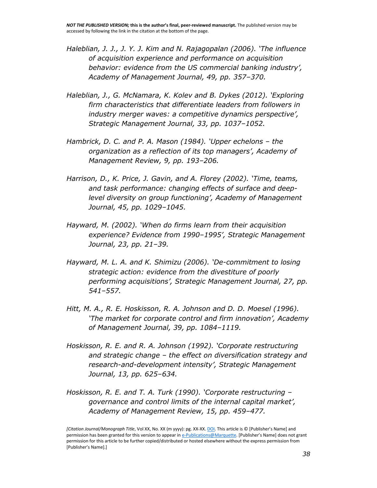- *Haleblian, J. J., J. Y. J. Kim and N. Rajagopalan (2006). 'The influence of acquisition experience and performance on acquisition behavior: evidence from the US commercial banking industry', Academy of Management Journal, 49, pp. 357–370.*
- *Haleblian, J., G. McNamara, K. Kolev and B. Dykes (2012). 'Exploring firm characteristics that differentiate leaders from followers in industry merger waves: a competitive dynamics perspective', Strategic Management Journal, 33, pp. 1037–1052.*
- *Hambrick, D. C. and P. A. Mason (1984). 'Upper echelons – the organization as a reflection of its top managers', Academy of Management Review, 9, pp. 193–206.*
- *Harrison, D., K. Price, J. Gavin, and A. Florey (2002). 'Time, teams, and task performance: changing effects of surface and deeplevel diversity on group functioning', Academy of Management Journal, 45, pp. 1029–1045.*
- *Hayward, M. (2002). 'When do firms learn from their acquisition experience? Evidence from 1990–1995', Strategic Management Journal, 23, pp. 21–39.*
- *Hayward, M. L. A. and K. Shimizu (2006). 'De-commitment to losing strategic action: evidence from the divestiture of poorly performing acquisitions', Strategic Management Journal, 27, pp. 541–557.*
- *Hitt, M. A., R. E. Hoskisson, R. A. Johnson and D. D. Moesel (1996). 'The market for corporate control and firm innovation', Academy of Management Journal, 39, pp. 1084–1119.*
- *Hoskisson, R. E. and R. A. Johnson (1992). 'Corporate restructuring and strategic change – the effect on diversification strategy and research-and-development intensity', Strategic Management Journal, 13, pp. 625–634.*
- *Hoskisson, R. E. and T. A. Turk (1990). 'Corporate restructuring – governance and control limits of the internal capital market', Academy of Management Review, 15, pp. 459–477.*

*<sup>[</sup>Citation Journal/Monograph Title*, Vol XX, No. XX (m yyyy): pg. XX-XX[. DOI.](file:///C:/Users/olsons/Desktop/Desktop/author%20versions/dx.doi.org/10.1016/j.acalib.2009.06.017) This article is © [Publisher's Name] and permission has been granted for this version to appear i[n e-Publications@Marquette.](http://epublications.marquette.edu/) [Publisher's Name] does not grant permission for this article to be further copied/distributed or hosted elsewhere without the express permission from [Publisher's Name].]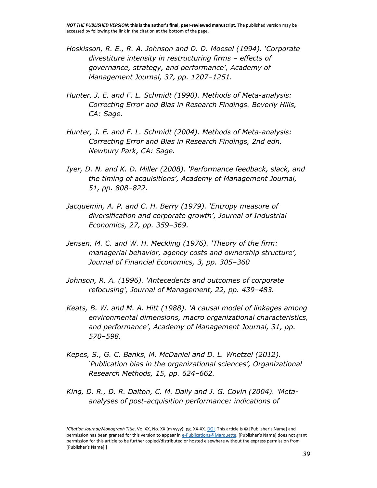- *Hoskisson, R. E., R. A. Johnson and D. D. Moesel (1994). 'Corporate divestiture intensity in restructuring firms – effects of governance, strategy, and performance', Academy of Management Journal, 37, pp. 1207–1251.*
- *Hunter, J. E. and F. L. Schmidt (1990). Methods of Meta-analysis: Correcting Error and Bias in Research Findings. Beverly Hills, CA: Sage.*
- *Hunter, J. E. and F. L. Schmidt (2004). Methods of Meta-analysis: Correcting Error and Bias in Research Findings, 2nd edn. Newbury Park, CA: Sage.*
- *Iyer, D. N. and K. D. Miller (2008). 'Performance feedback, slack, and the timing of acquisitions', Academy of Management Journal, 51, pp. 808–822.*
- *Jacquemin, A. P. and C. H. Berry (1979). 'Entropy measure of diversification and corporate growth', Journal of Industrial Economics, 27, pp. 359–369.*
- *Jensen, M. C. and W. H. Meckling (1976). 'Theory of the firm: managerial behavior, agency costs and ownership structure', Journal of Financial Economics, 3, pp. 305–360*
- *Johnson, R. A. (1996). 'Antecedents and outcomes of corporate refocusing', Journal of Management, 22, pp. 439–483.*
- *Keats, B. W. and M. A. Hitt (1988). 'A causal model of linkages among environmental dimensions, macro organizational characteristics, and performance', Academy of Management Journal, 31, pp. 570–598.*
- *Kepes, S., G. C. Banks, M. McDaniel and D. L. Whetzel (2012). 'Publication bias in the organizational sciences', Organizational Research Methods, 15, pp. 624–662.*
- *King, D. R., D. R. Dalton, C. M. Daily and J. G. Covin (2004). 'Metaanalyses of post-acquisition performance: indications of*

*<sup>[</sup>Citation Journal/Monograph Title*, Vol XX, No. XX (m yyyy): pg. XX-XX[. DOI.](file:///C:/Users/olsons/Desktop/Desktop/author%20versions/dx.doi.org/10.1016/j.acalib.2009.06.017) This article is © [Publisher's Name] and permission has been granted for this version to appear i[n e-Publications@Marquette.](http://epublications.marquette.edu/) [Publisher's Name] does not grant permission for this article to be further copied/distributed or hosted elsewhere without the express permission from [Publisher's Name].]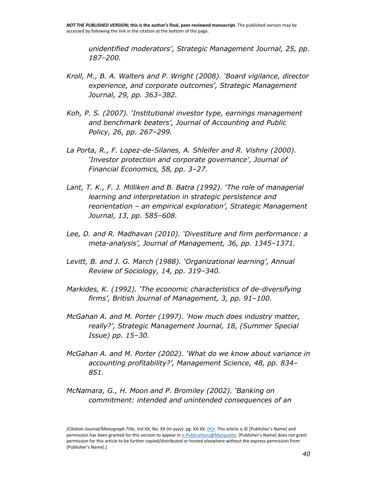*unidentified moderators', Strategic Management Journal, 25, pp. 187–200.*

- *Kroll, M., B. A. Walters and P. Wright (2008). 'Board vigilance, director experience, and corporate outcomes', Strategic Management Journal, 29, pp. 363–382.*
- *Koh, P. S. (2007). 'Institutional investor type, earnings management and benchmark beaters', Journal of Accounting and Public Policy, 26, pp. 267–299.*
- *La Porta, R., F. Lopez-de-Silanes, A. Shleifer and R. Vishny (2000). 'Investor protection and corporate governance', Journal of Financial Economics, 58, pp. 3–27.*
- *Lant, T. K., F. J. Milliken and B. Batra (1992). 'The role of managerial learning and interpretation in strategic persistence and reorientation – an empirical exploration', Strategic Management Journal, 13, pp. 585–608.*
- *Lee, D. and R. Madhavan (2010). 'Divestiture and firm performance: a meta-analysis', Journal of Management, 36, pp. 1345–1371.*
- *Levitt, B. and J. G. March (1988). 'Organizational learning', Annual Review of Sociology, 14, pp. 319–340.*
- *Markides, K. (1992). 'The economic characteristics of de-diversifying firms', British Journal of Management, 3, pp. 91–100.*
- *McGahan A. and M. Porter (1997). 'How much does industry matter, really?', Strategic Management Journal, 18, (Summer Special Issue) pp. 15–30.*
- *McGahan A. and M. Porter (2002). 'What do we know about variance in accounting profitability?', Management Science, 48, pp. 834– 851.*
- *McNamara, G., H. Moon and P. Bromiley (2002). 'Banking on commitment: intended and unintended consequences of an*

*<sup>[</sup>Citation Journal/Monograph Title*, Vol XX, No. XX (m yyyy): pg. XX-XX[. DOI.](file:///C:/Users/olsons/Desktop/Desktop/author%20versions/dx.doi.org/10.1016/j.acalib.2009.06.017) This article is © [Publisher's Name] and permission has been granted for this version to appear i[n e-Publications@Marquette.](http://epublications.marquette.edu/) [Publisher's Name] does not grant permission for this article to be further copied/distributed or hosted elsewhere without the express permission from [Publisher's Name].]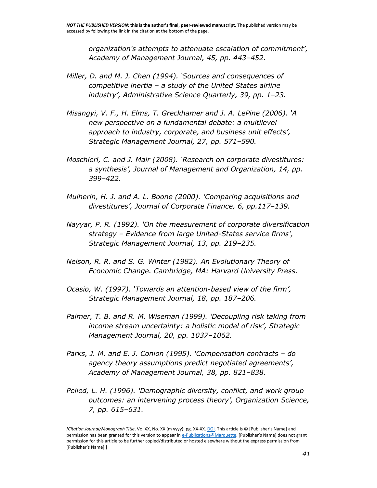*organization's attempts to attenuate escalation of commitment', Academy of Management Journal, 45, pp. 443–452.*

- *Miller, D. and M. J. Chen (1994). 'Sources and consequences of competitive inertia – a study of the United States airline industry', Administrative Science Quarterly, 39, pp. 1–23.*
- *Misangyi, V. F., H. Elms, T. Greckhamer and J. A. LePine (2006). 'A new perspective on a fundamental debate: a multilevel approach to industry, corporate, and business unit effects', Strategic Management Journal, 27, pp. 571–590.*
- *Moschieri, C. and J. Mair (2008). 'Research on corporate divestitures: a synthesis', Journal of Management and Organization, 14, pp. 399–422.*
- *Mulherin, H. J. and A. L. Boone (2000). 'Comparing acquisitions and divestitures', Journal of Corporate Finance, 6, pp.117–139.*
- *Nayyar, P. R. (1992). 'On the measurement of corporate diversification strategy – Evidence from large United-States service firms', Strategic Management Journal, 13, pp. 219–235.*
- *Nelson, R. R. and S. G. Winter (1982). An Evolutionary Theory of Economic Change. Cambridge, MA: Harvard University Press.*
- *Ocasio, W. (1997). 'Towards an attention-based view of the firm', Strategic Management Journal, 18, pp. 187–206.*
- *Palmer, T. B. and R. M. Wiseman (1999). 'Decoupling risk taking from income stream uncertainty: a holistic model of risk', Strategic Management Journal, 20, pp. 1037–1062.*
- *Parks, J. M. and E. J. Conlon (1995). 'Compensation contracts – do agency theory assumptions predict negotiated agreements', Academy of Management Journal, 38, pp. 821–838.*
- *Pelled, L. H. (1996). 'Demographic diversity, conflict, and work group outcomes: an intervening process theory', Organization Science, 7, pp. 615–631.*

*<sup>[</sup>Citation Journal/Monograph Title*, Vol XX, No. XX (m yyyy): pg. XX-XX[. DOI.](file:///C:/Users/olsons/Desktop/Desktop/author%20versions/dx.doi.org/10.1016/j.acalib.2009.06.017) This article is © [Publisher's Name] and permission has been granted for this version to appear i[n e-Publications@Marquette.](http://epublications.marquette.edu/) [Publisher's Name] does not grant permission for this article to be further copied/distributed or hosted elsewhere without the express permission from [Publisher's Name].]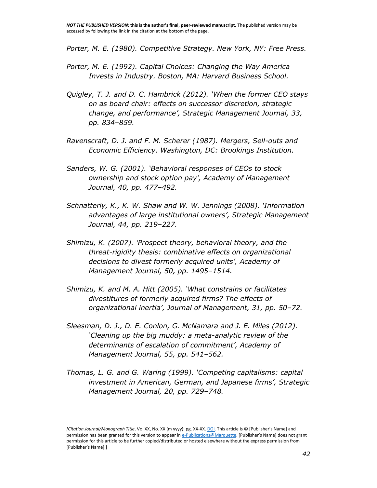*Porter, M. E. (1980). Competitive Strategy. New York, NY: Free Press.*

- *Porter, M. E. (1992). Capital Choices: Changing the Way America Invests in Industry. Boston, MA: Harvard Business School.*
- *Quigley, T. J. and D. C. Hambrick (2012). 'When the former CEO stays on as board chair: effects on successor discretion, strategic change, and performance', Strategic Management Journal, 33, pp. 834–859.*
- *Ravenscraft, D. J. and F. M. Scherer (1987). Mergers, Sell-outs and Economic Efficiency. Washington, DC: Brookings Institution.*
- *Sanders, W. G. (2001). 'Behavioral responses of CEOs to stock ownership and stock option pay', Academy of Management Journal, 40, pp. 477–492.*
- *Schnatterly, K., K. W. Shaw and W. W. Jennings (2008). 'Information advantages of large institutional owners', Strategic Management Journal, 44, pp. 219–227.*
- *Shimizu, K. (2007). 'Prospect theory, behavioral theory, and the threat-rigidity thesis: combinative effects on organizational decisions to divest formerly acquired units', Academy of Management Journal, 50, pp. 1495–1514.*
- *Shimizu, K. and M. A. Hitt (2005). 'What constrains or facilitates divestitures of formerly acquired firms? The effects of organizational inertia', Journal of Management, 31, pp. 50–72.*
- *Sleesman, D. J., D. E. Conlon, G. McNamara and J. E. Miles (2012). 'Cleaning up the big muddy: a meta-analytic review of the determinants of escalation of commitment', Academy of Management Journal, 55, pp. 541–562.*
- *Thomas, L. G. and G. Waring (1999). 'Competing capitalisms: capital investment in American, German, and Japanese firms', Strategic Management Journal, 20, pp. 729–748.*

*<sup>[</sup>Citation Journal/Monograph Title*, Vol XX, No. XX (m yyyy): pg. XX-XX[. DOI.](file:///C:/Users/olsons/Desktop/Desktop/author%20versions/dx.doi.org/10.1016/j.acalib.2009.06.017) This article is © [Publisher's Name] and permission has been granted for this version to appear i[n e-Publications@Marquette.](http://epublications.marquette.edu/) [Publisher's Name] does not grant permission for this article to be further copied/distributed or hosted elsewhere without the express permission from [Publisher's Name].]